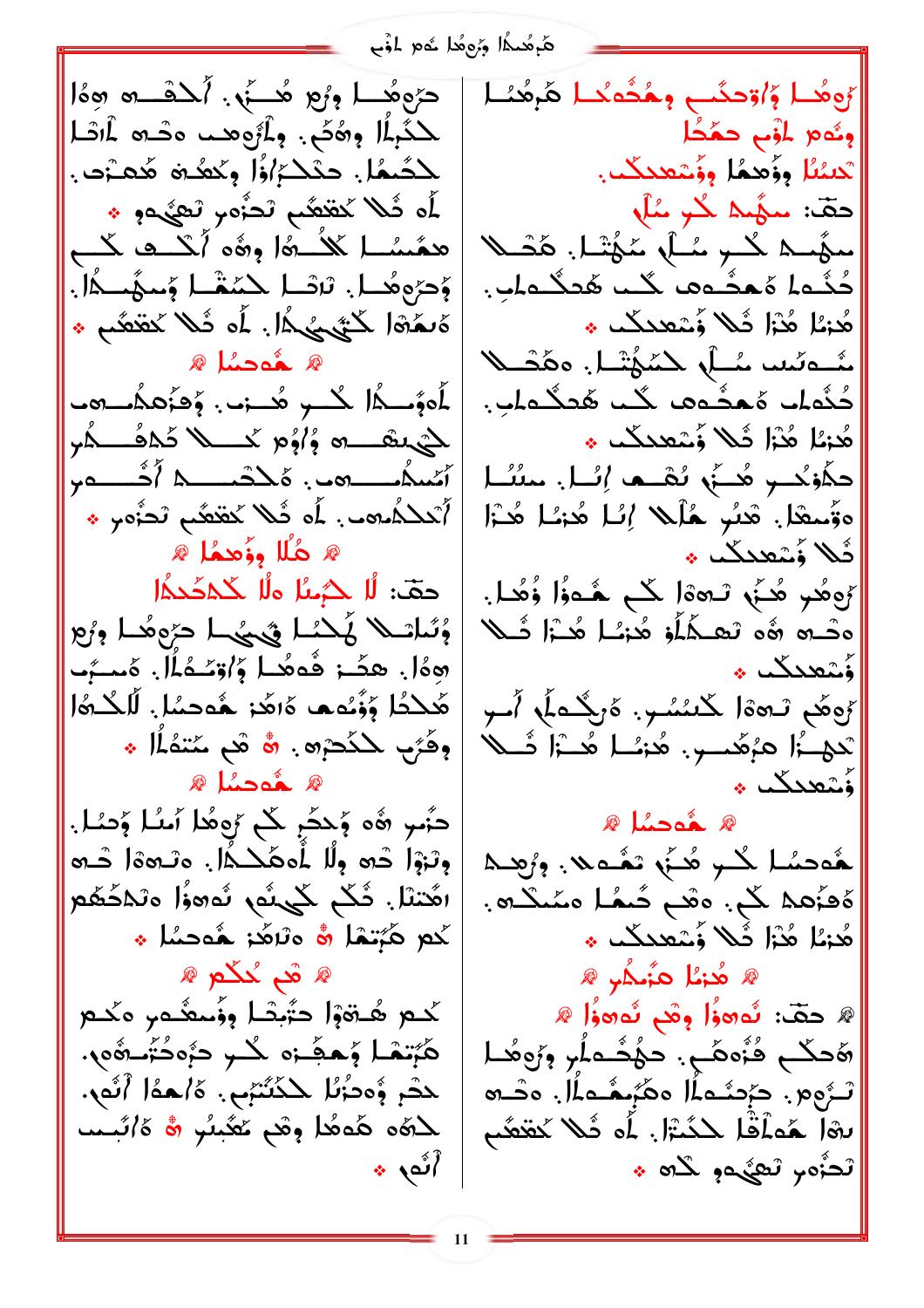حرِّهِ هُــــا وِرُمِ هُـــــزٌو. أَحْدَ مِ هُوهُ ا لْكُبُراً وَهُكُنْ. وِلْأَوْهِيتْ وَشَيْهِ لِلْإِصْلَامِ لِكُمُلُ. حَثَكُمُ/وُلُ وِكَعُدُهُ هَٰعَنُوبٌ. لَمَ شَلا مُعْقِقَب تَحَزُّهِ رِتْعَيُّهِ \* همُسُمِ كَلَا هُا وَهُ وَكَلْتُ كُلِّ وَحرَهِ هُـــل. تَاتْـــل حَمَّقْــل وَسَهَّـــدًا. ە مەتقىلا ، ما ما ئاشرىش ئاققىدىن ، R Lioch R لَمَاهَ وَمِنْ الْأَسْرَى مُوسَنِينَ وَهُوَ وَهُوَ اللَّهُ مِنْ اللَّهُ عَلَيْهِ وَمَرْكَبَ وَمَا ا لِمَسْمِكَ \_ a وُ/وُم كَمِسْلاً كَلافُـــدُم أَكلكُموه بَالَه ثَلا كَفَقْفَ لَكَوْهِ ﴾ ® جُلّا وؤُهمُا ® حقَّ: لَا حَبْسًا ولَا حَكِمْحَجُا وُتُىلِّى لَكْتُمْ فَيَحِيَٰ حَرَّهِ هُمَا وَرُو رەەُل. ھڭىز قەھُل ۆُ/ۆڭىمُلُل. ەَسىرَّە كَعِيْدُا وُؤُسُمِهِ وَاهَٰزِ هُوصُلٌ لِّالْكُنُوا وِفَرَّبِ لِكَحْرَهِ . ۞ شَي مُتَمَالُ \* 2 Lisai 2 دَّمَى هُ وَجِحَرٍ کُمْ رُوهُا اُمنُا وَصَا. وِنْزُوا دُه وِلًا لِمُحَكِّدًا. ونُـهوَا دُـه اهَتِنْلَ. ثَكُم كَكِينُو، نُوهوُا ونْدْخُعُور كُمْ هُبْتُهَا قُ وَلَاهُ: هُوَصُلْ \* کا تم مُکّم کا كُدم هُــةوْا حَتَّبِشَا وِزَّىعِثُـمرِ مَكْـم هُبْتُمْا وُهِقَّۃِه كُبِ حَزْهِجُتْكُومٍ. حصْرِ وُءِدَٰۥُل كَكَنْتَرْمٍ. هُ/هِءُا أَنُومٍ. لكەُه كُوھُل وقْع مُعَّبِيُن الله كَايَّبِيت  $\cdot \sqrt{2}$ 

رُوهُــا وُاوْحِكَـــم وهُثُمْكَــا هُرِهُنَــا وِثَومِ لِمْوْمٍ حَمَّجُل تَعْبُدُا وَوَكَّعَا وَوَٰٓتَعْجَكَبَ. حقَّة: سهٌمه كُمْرٍ سُلْمٍ سَهَّـــمْ كُـــرِ سُــلٍّ سَّهُتْــلِ. هَـْـــلا دُنْـْما ەْھنْـەم گــى ھُتىـْـەلمِب. هُزِيُل هُنْزَا ثَلا وُسْعِدِكُ ﴾ سُــوَسُــ سُــلُو حَسَّوُتْـا . وهُـْـــلا دُنُولِ وَحَدُومِ كُبِّ هُمَدُولِ. هُزئا هُرْا ثَلا زُسْعدگ ﴾ حكَّوْكُب هُــزُو يُهْــم إِنْــلَ. مِنْنُــل وَقُصِيْدًا. وَقَبُو هُلُوا إِنَّا هُوَمُا هُوْرًا ئُلا ؤَسْعِدِكْ \* رُوهُرِ هُنَّى نَـهِوْا كُلِّ هُـهوُّا وُهُـا. ەڭــە ھُە تىھــكُلُغ ھُـزْـُـا ھُــْزَا شَــلا  $\cdot$   $\sqrt{225}$ رُوهُم نَـهةا لِكَنْسُـرٍ. هُرَيْـُـملَّـهِ أُمـرِ تَحْهَــٰٓءُا هَزَهُمـــوٍ. هُـٰٓنَـٰـا هُـــٰٓءَا شَــٰلاً ۆشمىدىك ھ A Lisan هُوصُل كُلِّ هُنَّ ثُمُّوهِ وَرُحِيطٍ ەقئەھ كى. ەقىم كىما مئىكلە. هُنءُا هُنْا ثَلا فُتَعدكَ \* **& هُزنا هزُمگر ه** ® حقّ: ثُهرهوُّ) وقْع ثُهرهوُّ) ® هَٰحکُم فُنُوهُم وَحُفُـوام وَوُوهُـا تَـرُّوم. حَرْحَتُـماًا مكَبُـمُـماًا. مصْـم بِهْلَ هُوَلَمْقًا حَكَمْتَا. لَمْ قُلا كَقَعَيْم تَحزُّه وَ تَعيَّدُوا حَذَّهَ ﴾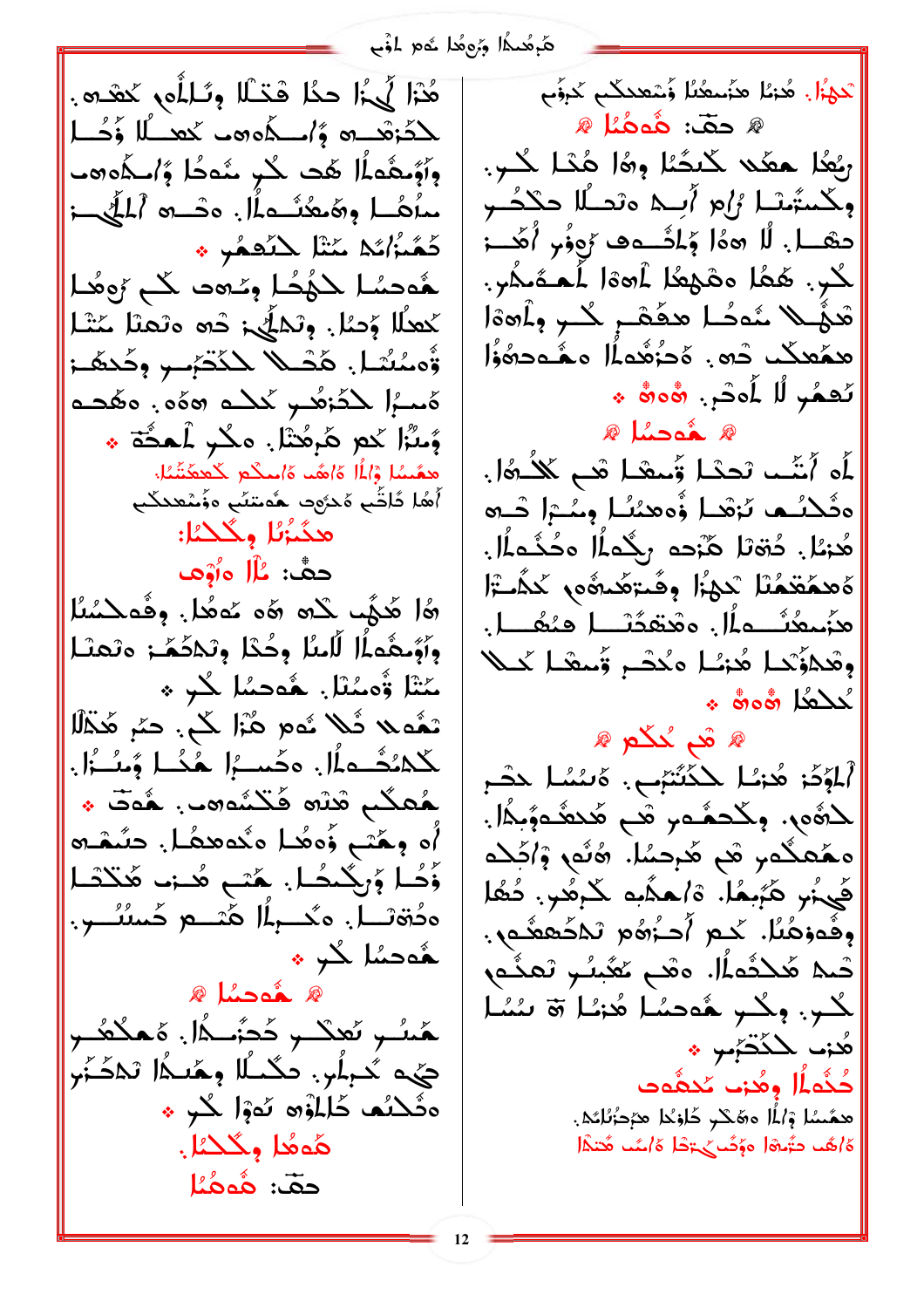هُنْزَا لَيُمْ حَكْلاً هَـنَـْلَا وِتَـالْمَى كَعْدَهِ . للْخَرْقْبُ، وَٱسْلَمُوهَبْ كَعْشَالًا وَّضُلَّا وِٱوۡعَقۡمَاۡا هَٰٓتَ ۖ خُرِ ۚ مَّٰٓءَكُمۡ وَۗ ٱِ ۖ ٱوَمِنَا ۖ وَٱلۡ ٱلۡ ٱ مأهُما وهُمعُنُماً. ودْمِ الْمَيْ دَّهُنُّ أَمَّدُ مَثَّا لِلْكَعْبِ \* ـقُوصُــا لِكَهُـُـا وِمُـْ10 ـكَــم رُوهُــا كَعْطًا وَّحْمَا. وِتْمَلِّي: دُه هِتْعَتَا مَتْتَا وُّەمْىُتْما. ھُصْحا جِدْدَّەب وكُحَدَّم: ەُسْرَا لِكَنْزِهُو كُلْدە (500 ـ 500 م وُسُّرًا كَمِ هَٰذِهُنَّا. مكْرِ لَمَحَّة \* همُسُل وَ) أَلَّا هَاهُمَا هَاسِكُمْ كُعْعَيْتُمَا. أَهُا دَّاظَّے ہُدرُوں حُمتنَے ہوَ مُتَعددَ بے هدُمُرُمُل و كَلاَمُلُ: ِ حَمَّا: عُلَّا وَأَوْهَى هُا هُدُّ عَلَى الله هُ مَّمْعَا وَقُمَحْسُنًا وأؤمعْماًا لُاملُا وحُدْا وِتَكَحَّـٰ: هَتَعَنَـٰا مِّتْلَ وُّمِمُثَلٍ. هُءَدِمُل كُبِ \* تَعُمِد ثَلا نُمِ هُزَا لَكَمٍ. حَبْرٍ هُذَالَ ِكْهُنُشُــه ِمُلْلٍ. وَكُمْنَــرُ إِلَيْهِ الْمُحُنَّـلُ وَمُنْــرُّلٍ. هُمكُم مْلَاه فَتْشُەهب. هُمَتْ \* أَه مِمَّتَـم وُّهمُـا مَتَّـمَعمَـا. حنَّـمَــه وَّحُـل وَرِكْبِحُـل. هَيْـم هُــزب هَنْتْحَـل ەدُةتىل. ەڭىبال ھَتىم كَسْلُب. هُّەحسُل حُدٍ ﴾ & Lisca & هَسُــرٖ نَعيْـــر حَجَّـــدًا. هَــمَــُـعُـــر كَيْءِ كَـٰبِلُرِ. تَكْـُـلًا وِـمَّنـدًّا تَـٰدَّخُرَ ەئكىُم خَالمۇھ ئەۋا بكر \* هُوهُا وجُكْنَان حقَّ: هُوهُمُا

تَكِهُرَا. هُوَمَا هَزَسِعُنَا وَمَعِدِكُم كَرِوَمٍ ه حق: هُوهُ*نا ۾* رَبُعُا هِعَد كَدَمُا وَهَٰا هُدًا كُـرٍ. وكْمتّْسْلا رُام أُسِيه وتصلُّا حكْحُب حقَّــا. لَا هوَا كَلِئْــوف رُوفُر أُهُـــز لْكُر. هُمُا هِمْهِمُا لْمُعَامِ الْمُمَّدُرِ. هَؤُلًا مُوصُلًا هَفَهْمِ كُلِّرٍ وِلَمْوَةَا همُعكَب دُهِ . هُجُرُهُماُ! مصُّوحُهُوَا لَّٰهُمْ لَا لَمُوتُو. ۞هُ ۞ 2 Lisan 2 لَم أَنتُــد تَحدْل وُّسعْـل مْبِ لْلأُـرَّه لِ ەڭلىك ئزغىل ۋەھئىُل وِسُـْرَا تَــە هُزِيُلْ. دُقْهَلْ هُزْجِم رِجُّهِ أَلْمَ مَحُجُماً لِ هَ هَهُقَهُنَا كَدْرُا وِقَتْ هُدْهُ مِنْ كَذَٰتْنَا هزُمعُنٌـــولُمْل. ومْعَعَدْتَـــل هِنُعُــــل. وقحكزتما فرنا محدر وبمغا ححلا  $\frac{1}{2}$   $\frac{1}{2}$   $\frac{1}{2}$ **کا تم مُکُم کا** ٱلمَوِّدُ: هُـٰٓئِـُـل ـلاَكْتُبْبِ. ەَىنُسُـل ـدشـر لِحَدُّهِ. وِكَحِمُّـمِ رَسَّـمِ هَٰـنَفْـمَوَّبِكُمْلَ. ەھّككەر قى ھُرجسًا. ھُنُّى وْاجَك فَيْءُ وَكَبُعُا. 16هـدَّبه لِكْبِعُدِ. دُهُا وِفٌوهُنُا. ۚ كَبِعِ أَحَـٰٓ;هُعِ ثَلاَجُعِعُبِي . تْىمْ هُلْدُّەلُّا. ەھْم مُعُبِنُو تْعَدُّە ِ كُـرٍ. وِكُـرِ هُـُوصُـا هُـزْـًا ۞ سُنُـا أهُنِ لِكُنْتُمِ \* كُنُّه لُمْ وهُن، كَدهُوب همَّسُا وْالْمَا مَهْكُر كْلَوْكَا هرْجُرُّلُكُمْ. هَاهُد حَبَّدَهَ الْمَحْدِيِّ حَمَّاهُمْ الْمَدَّ الْمُحْدَّمَ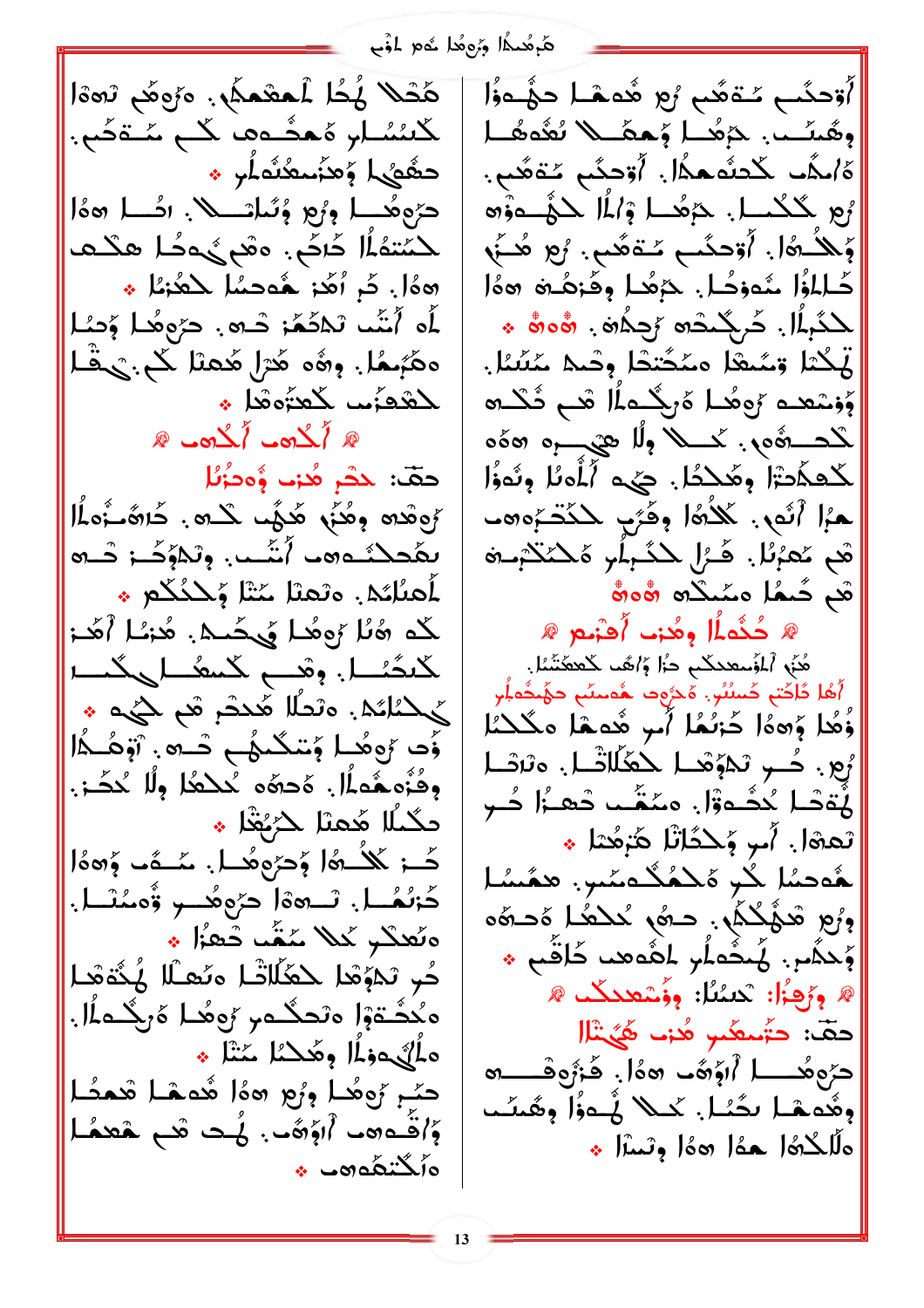هُرِهُدهُا وَرُوهُدا هُوم لِمُوْبِ

هَٰتُمْ لَمُحُا لَمَعْمَمُ . هرَّوهُم تَحَا ݣْسُسْلُر ەْھْشُەھ ݣﻰ ﻣﯩﺘﻪﻛﻰ. حَقَّتُهَا وَهُنَسْعَتُهُ أَمِنُ \* دَعِ هُـــا وِرُعِ وُنُبائِــــلا . ائـــا هِ هَا لكَمَّتَمُاْ الْمَرَّكِ. وقْعَ يُحَكَّلُ هَكْلَمَا 160 مَر أهَدِ هُوجِسًا لِحَقَّرْنَا \* لَمَا أَنْثَبَ لَكُلِّكُمْ خَـْرَى حَرَّهِ هُـلَّ وَحَـُـلَّ هِهُبِمُا. وِهُم هُرَا هُمِنَا كَبِي هُا لِمُعَذِّبِ لَاهِتُوهَا \*  $\sqrt{2}$  )  $\sqrt{2}$  )  $\sqrt{2}$ حقَّ: حدَّر هُزم وُودُرُّلُ أَوْقَدَهِ وِقُنُو هُكُفَ لَكُلَّهُ . كَانَّهُ أَوْلَمُ بِمُحِكْسُوهِ لَيْئِتِ. وِثَلاَوِكُ: حْــهِ لِمَطْعُدِ. وتعِبْلِ عَثَلِ وَحِجْكُم \* لَكُمْ الْخُلَامُ فَيَحْمَدُ. هُزْمًا أَهْدَ كْتِحْسَا. وقب كْتْݣْبْل كْتْتّْمَارْ حركة بمكتبة المعاشرة. مثل*كر*ح ؤُد رُوهُــا وُسْكُــهُــ وْـــْـه. ٱوْهُــدًا وِقُزُهِ هُوَ أَلْ. هُدْهُه گُلْاهُلْ وِلَّا كُدِّ:. حكْىلًا مُحمْل حَرْبُغْا ﴾ كُــز كْلُــەُا وِّحرَّەھُــا. مَـــەُــْ وَهەُا دَٰزَىٰمًا. تــهةا درّەھُـــو ۋُەمْتَــا. وتُعكَّرِ كَلا مُغَّبٍ دَّهْرًا ﴾ حُرِ تَكَوِّهُا حَقَكَاتُ مَعْطًا هُخْفَقَا ەڭدُّـةۋا ەتھگـەر رُەھُـا ەْرگـەڵا. ه لَتُدْ الْمُكْمَ الْمُوْمَرْالُمْ حِمْمِ رُوهُما ورُمِ 50% هُوهُما هُدهُما وَٚاقُـدھـد ٱروۡھَـٰ۔ کُے قبے ـقعمُـا ەكتقەھە \*

أَوْحِكُبِ صُّدَمَّى رُمِ هُدِهْـا حَقُّـووا وهُسُّبٍ. حَرْهُـا وَجِعهُــلا تُعْوِهُــا هُ/مِمَّد لِكَدِثَهِ هِـهُمُّا. أَوْحِكُم مِّـٰةِ هُدمٍ. رُمِ كَكْسًا. حَرْهُما وْإِمْلَا كَنُو وْهِ وَجْلَا الْمَاءِ. أَوْحَكُب سُنَاهُبٍ. وُلا هُنَّى كُـالمُوْا مُدَوَدًا. حَرِّهُـا وِفَرَهُـ a lóg لْكَبِلَا. حُرِبُكُنْدُه رُجِدُهُ. وُوهُ \* بِّكْتا وَسُعْفَا مِمْحُتِحْا وِحْما سَنَسْا. وَوْسْعِـد وُوهُــا هُرِيْـُـداًا هُــم فُـُـُــه كلحسةُ من بكسمه ولا حتى من 20 000 كْهِكُمْتْلَ وِهُكْدًا. حَيْمِ ٱلْمُونَا وِنُوؤُا هِمُ أَنَّهِ فَلَاهُمْ وَهُرًى لَحَدِّدُوهِ وَ هْمِ مُعْبُلًا. فَــرَّا لِكَــْبِلُرِ هَكَـتَكْبِــة هُم حُممًا مَمْلَاه هُوهُ & حُثَّمَلُّا وِثُن**َ**ت أُعْنُبُو & ِّ هُنَّهَ ٱلمُؤْسِعِيْكِيِّ جَزَّا وَّاهُب كَلَّاهِمَتَّمَّا.<br>اُهُا دَّاكَتِ حُسْنُرٍ. هَجَرُوت حُمَسِنِّ حَهُنصَّةً و وُهُا وَهِهَا كَرْنُمُا أَمِرٍ هُوهَا وكُلْمًا رُهِ. حُــِرِ ثَمْؤَهْــا حَمَّلَاتْــا. مِتْاصَـا لِّقْصًا خُصُّوْرًا. مَمَّقَّب دُهـءُا ضُـر ِ نَعْهَا. أَسِ وُحْدًاتْاً هُزِهُمْاً \* ۿؘڡڝؙڶػڔٷڂۿؙڴڡٮٞڛۥڡۿؘٮٮۢؠڶ ورُمِ شَؤُكُكُمْ. حَيْهُمْ يُحْجُدُ وَحَيَّةُ وَ وَّحَدُّمَ: ضُخُماُر اخْمُعت خَاقَّى \* ه ورُهاًا: تَعْسُلًا: ووُسْعَدِكُمْ & حقّ: حتّىمكّىب هُذب كَيَّسْتَالَ دَرْهِ مُكْسَبِلُ أَآوَ هُءُ مِنْ الْمَؤْرُوهُ مِنْ مِنْ الْمُؤْرِدِينَ مِنْ وِهُوهُمْ لِحُمْلٍ. كَحِلّا إِنَّوٰوا وِهُنَّت ولَأَلْكُلُهُ هَذَا هُوَا وِتَسْلَأُ \*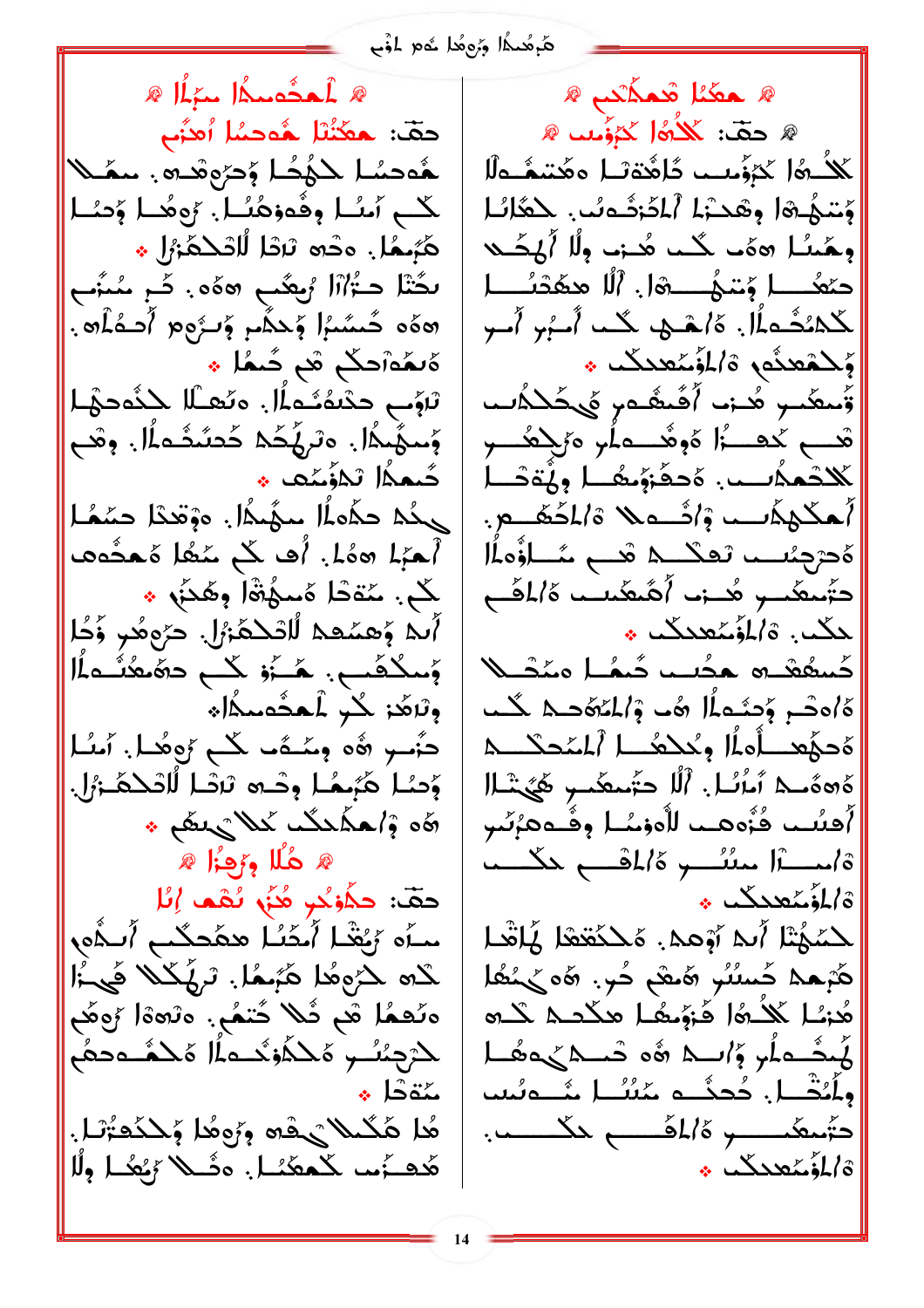@ 14m Kusaal @ حقَّ: هعَّتْنَا هُوجسًا أهزَّب هُوصُل حَوُّصًا وَجَرَوهُــ ۞. سَعَّــَـلا ﻼܝ ﺁﻣﻨُـﻠ وهُەوَهُنُـﻠ. **رُوهُـ**ـﻠ وَحَـُـﻠ هُبُسُما. ودْه تردا لْاتْحِهَٰزُلْ \* بَحْتْلَا حَةٌاْالْ رُبِعَكُبِ 2009 . كَعِ مُمْنُوبِ ادەً دېئىبا ۋىلگىر ۋىرۇم (كىمار ). ەَىمَەْكَى ھَى صَمَّا \* تَآوُّب حَدَّىفُتُماً!. ەنھىلا حَدُّەجھْـا وٖۡٮٮۿؘٮۮؙٳ. ەڷڔۿؙۣػۮ ڬؘڡٮٞٮڎٞ؎ڵٳ؞؋ۿؠ حٌىمدًا تَدْؤُمِّف \* حِكْمَ حَكَّمَاً مِنْهُمَاً. وَوَتَعَدَّا حَمَّمَـا أَهْبَاءَ 1، أَهْ لَكُمْ سُعُاءَ مُحَدَّدِهِ ِكُمْ . مُتَوَدَّا هُسَهُرَّةًا وَهُدُوْ \* أَبْدَ وُهِنَّدِهِ الْاتَّخِمَّرْلَ. حَرَّهِ هُرٍ وَّجُلَّ وَسِكْتُبٍ. هُـُ;َوْ كُبِ دِهُنصُلُهِ أَا وِلْاهُدْ كُلِّ أَلْعَذُه سَلَالًا ﴾ دُّنَــرِ ۞ه وَمَّــةَــ كَــرٍ وَهُــلَ ٱمْـُـلَ وَّحَـٰا هَٰٓبَـمُـا وحْـه تَاصَّا لُاصْحَـٰۃُ اِل \* بَضْلِنَ كَمَلَا سَكْمَهُمْ \* وَفْعَ **& جُيًّا وَجِيًّا &** حقَّ: حَكَّوْكُو هُنَّ تُمْعَا إِتْلَ سأه رُبُعْٓا أَمَدُنَا ممَّحكُب أَسأُهٖ كَلُّهِ لَكُرُوهُا هُبُمُا. تَرَهُّكُلًا فَهَيْزًا ەنُعمًا مْعِ ثَىلا تُتمُّى. ەنەەۤا رُەمَّع √ترجنُ*تُــو هُ*ـلكُوْنُحــه∫ا هُـلـعُــهحمُـع عّة دْار و هُا هَكُـىلا ٓي هُ٦٥ وٖرۡ6هَا وَحِكَمَّتُولَ. هُدَيَّىب جُمعَنْما. وضَّلا رُبُعُما وِلَّا

ه حكَّا تَعَكَّسُ \* @ حقّ: **لَلاُهُ** كَبُوْسِ @ لْحُدُوا كَبْؤُمِي دُاهُتَهْ وَ مَحْتَى اللَّهُ وَ اللَّهُ وَّسْمُـِرْهَا وِهْدِبْهُا أَعْلَمُوْهُـوسُ. حَهَّابُـا وِهَٰنُا «ەَ كُبْ هُـزْ وَلَا أَيْضَـٰه حَمْعُــــــــــا كَۭتنيُّــــــــــــةا . ٱلْله محمَّدْنُـــــــــا ـكْـدْئــُــهـاًا. ة/ هــها لِكْـــا آسـرُو آسـو وَلِحْمَعِنُورٍ وَالْمُؤْسَّعِيْكَ \* تُسعَّسر ۚ هُـ ; ۖ أُقَّىقُـه ۖ يُحَكِّفُـ قب كَدْنُ أُهْوِقُتُ مَابِرٍ وَرَبِّكْتُ بِ كَلْحْمَدُ بِ. هُدَفَرْهُ مِثْمًا وِلْمُ تَدَخْ أهكهكَ ب وْائْـــملا ةالمَحْصُـــم. ەَدېمىسى ئەڭلىم شىل سَلۇماًا دَّوْسَعَمِي هُـــوْمَا أَهُبْعَكْمَاسَــا هَا الْمَسْعَمِينَ حكْب، ةْالْمُتْعْجَكْبْ \* كَسِفْعْتِ مِدُنِي دُمُّا مِنْذَلًا ەْلەشىر ۇھشمال ھى ۋالمئھجىدا تكىب هَحهُعبأماً وحُكعُبا ألمَنحكِم هُههُما ٱمرُسُل: ٱلله حتَّمكُم هَيُسْلِل أُهلُــد قُذُهمـد الْأَوْمُــا وِقَــٰهِمْزُنُـر ة/مســـٱا مىڭــــو ة/لمڤــــع ھڭــــما ةالمؤسِّعدلك \* َحْمَٰجُتًا أَبِهِ آوَهِمْ. هَجْكَعْعْدَا كَمَاتْحَا هَٰٓدُهِ جَمَّاسُوا مَهْ مَعْلَمَ مَهْلِهِ مِنْ مَعْلَمَا هُزئاً كَلُّدُهُ وَذَوِّيعًا مِكْصِدٍ كُنَّهِ لَّــهُصِرْ Aـــدَّ هَ هُ هـــاحٌ بِلْمـــمُــدُ ولُمُتْسَا. حُحِثَــه مَمْنُسَا مُـــوبُسا ةالمؤسِّعدلك \*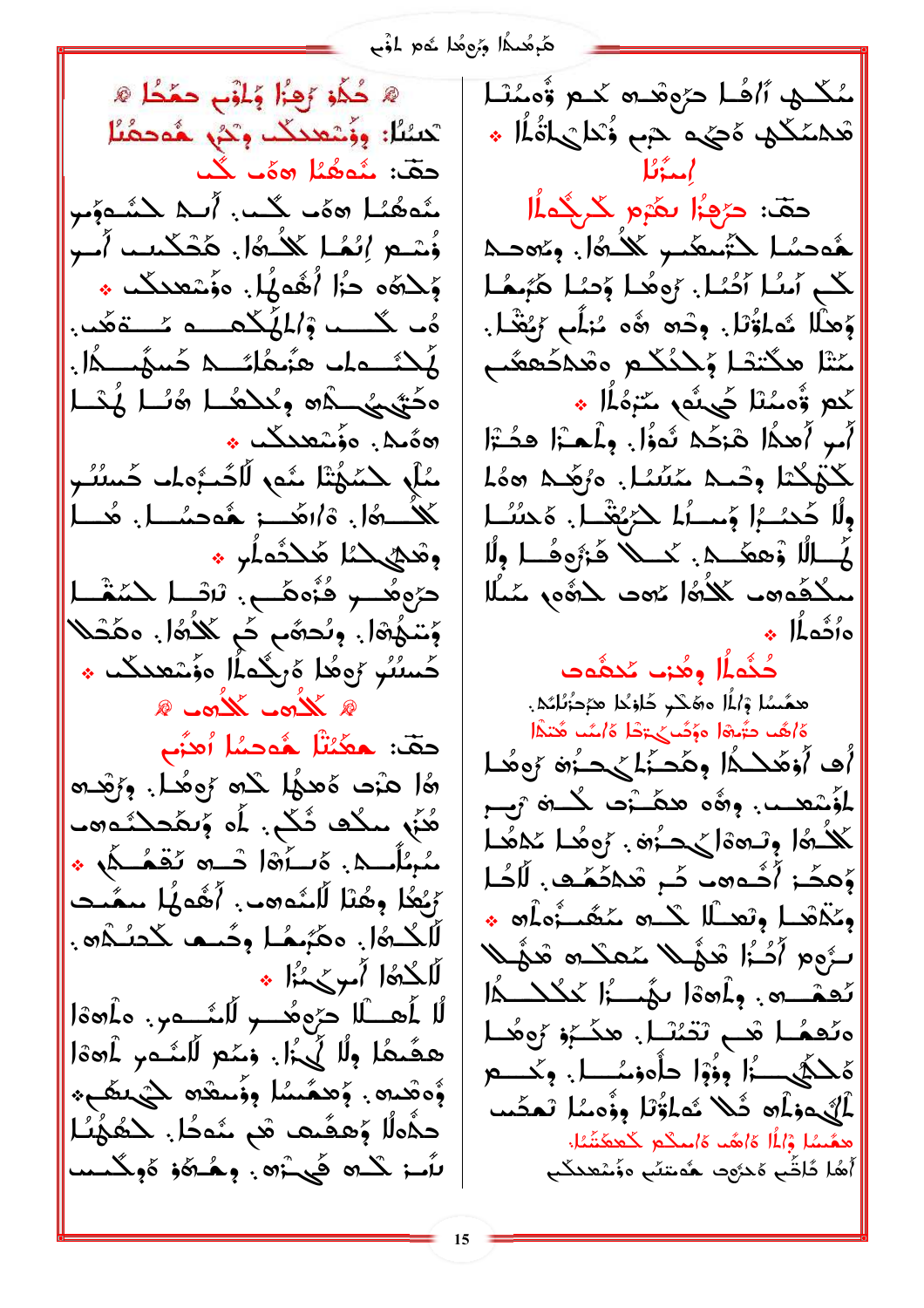@ كُمُو رُهِمُّا وَ*لَوْمٍ* حَمْدًا @ تعبِّئًا: وَوُسْعِدِكْتَ وَتَدْرُ هُوَجَعَتُنَّا حقَّ: شَمِعُمُ اللهُ عَلَى لَّكَ مْدَهُمُا «ەَت كُت، أَبْنَا بَلْشُدَوُنِنِ ؤُسْمِ إِنْعُـا كَلَّـهُا. هُتَكْسَب أُسو وَجْحَدَه صَدَّا أُهُمهُا وَ مَعْجَجَت مِ يَهْلِدُ على هنَّمطائُـــد كَسيَّــــدُّا. وَحَتَيْبِيُنِ أَوْ مِكْحَمَدٍ وَمُحْمَدِ الْمُحْسَلَ 50 مئي مؤسَّف به مْلَلْ لِكَمُوْتَلْ مُعْلِ لَلْكُمْ وَمُلْكُ كُسْلُبُلْس كَلُّـــوَّا. 16رَّهُـــز هُوجِسُـــل مُحـــل وثعكيكما تُعطفُونُو \* حرّهِ هُـــــرٍ هُـُوَهِمَـــبٍ. تَاتَّــِــل حَمَيْتَـــل وَّسْؤُدًا. وِنُحمَّم ۖ كُم ݣَلْاهَا. هفْشَلا كَس*نُو وُه*ْدَا هُرَيْكُمْاً هُوَسْعَدَكْت \* 2 Kou Kou 2 حقَّ: هَعْنُنْا هُوَجِسًا أَهْبَم هُمْ عَنْوَ هُمْهُا كُلُّهِ رُوهُا. وَرُهْدُه هُنَّى سكُفْ فُكَّى. لَمَّ وَيَتَمَطَّعُوه بِ سُبِئْلُكِ، ەَسَلَاھْ شَــْھ ئَقْصُـٰكُمْ \* رُبُعُل وهُنَا لَّامْدەت. أَهُولُمَا سِعْت لْإِحْدَةُا. وهُبُعْط وِحْمِعْ جَدْمُهُ. لَلْكُلُّهِ أَسْرِحِيهِ أَلْمَكُمْ أَ لًا لِمَصْلًا حَرَّهِ هُــــو لَّامُـــــمو. ولَاهِ وَا هَقَىعًا وِلًا ﴾ ۖ: وَمَع لَّامْ وَمِنَاهِ وَالْمُنَامَرِ ﴾ [30] وٌوقده. وٌهمُسُلَّ ووُسِعْده لِمَهْدِهُمْ حِدُّەلًا وَهِقَىمَ هُم يُوجُل حَمُهُنَا للَمنز لكسره فَي آزهن. وِلْهُ اهْوَ هُوِلْكَسِيب

سُكَّـــنَ ٱاهُـــا حرّەڤدى كَـــع وُّەسُنَــا هُ الْمَكْلِيُ وَجِيَ مِنْ وَكُمْ يُكْتَبِكُمْ ﴾ **\مِيَّزُنْل** حقّ: حرِّهِ أا يهُ مِنْ كَرِجُهِ أَا هُوصُلِ حَتَّمِيعُبِ لَكُوهُ السَّوْمُ كُم آمنُا آَدُمُا. رُوهُا وَدُا هَبُمُا وَحِلًا مُمَاوَّتَا. وِحْمَ هُو مُزَلَّمٍ رُغَضًا. مَتْلَ هكْتْصْلَ وَحْدُكُمْ وْهْدْكُمْهُمْ لَّهُمْ أَلْمَٰهِتُمْ مِثْنِيَّ لَنَدْهُ وَمَرَّ أُمِرٍ أَهِدًا هَزَحُدَ نُوزًا. وِلْمِنْزَا هِدُتَا كَوْكُمْا وِصْحْ مُنْسُلْ. هُرُهُكُ هُمَا وِلًا كَحِبُّ أَ وَحِسَلًا ۖ حَرَّجُغُّ ۖ وَ مَحْتُمُ ۖ ا لَمِ اللَّا وْهِمَكِ ١. كَنْكُمْ هُزْوُهِ كَلَّ وِلَّا سلَكَفُوهِ لَلْأَهُ أَمُّوهُ لَكُمُّ الْمُسَلَّ ەرْشەملُل پ كُنُه لُمْ وهُن، كَنفُه ب همَّسُا وْالْمَا وَهَكُر كَاوْكَا هرِّجَانُاتُه.<br>وَاهُد حَبُّدُوا وَوَكَبِّيْ وَاللَّهُ مَّتَــاً اللَّهُ مَّتَــاً أَه أَوْهَدْ اُلْمَ وَهُدَٰ الْمَحْدُونَ وَهِ مَا الْمَ لمُؤْسْعِيب. وِهُ٥ هِڪَـُوْتَ لَكَــةِ ۚ رَبِّ لَكُمُا وِتْـ30لَىٰحِـزُاهَ بِرَوهُـا مُكْمَل وَّهَكُـٰٓۃٖ أُخُـُّهُڡ كُـِّ شَهْكُمُـُڡٌ ۚ. لَّاكُـٰا وكَفْعَه وتَعَسَّلَا كَتْبَهُ مُكْتَبِدُوْهُمْ \* بِرُومِ أَضُرُّا شَهُّلا سُمِكْتِهِ شَهُّلا تَحفَّص وأَ30 لِمُكْلِماً لِمُحْلِكُمَّا ەئھمْـا قىـى تتىُنْـا. ھكْـرّۈ رُوھُـا هُكِيْبُ زَا وِزُوْا حِلْوفِسُكِ. وِكَحِمْ ـْمَايُجِوْلُمِ دَيْلا شَمَاوُّنْا وَوُّجِسًا نَعْصُب هِمُسُلٍ وَٱلْمَالَةَ ٱهُدِ وَٱلْمُسَلِّمِ لَاهِجَتَنَاهُ أَهُا دَّاضَّ هَدْهِد حُمْتَنِّ وَنُسْعَدِكُبِ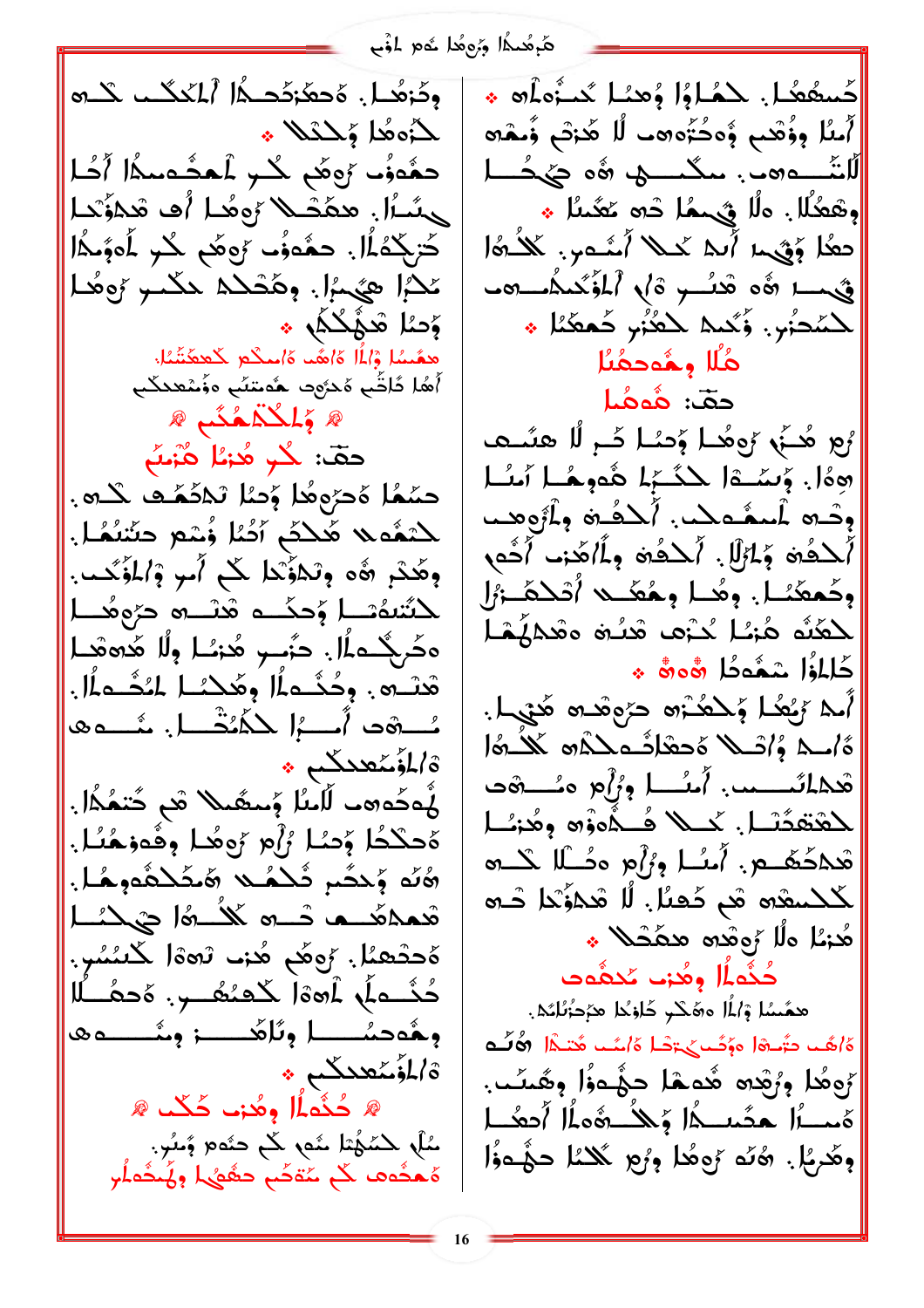هُرِهُدِهُا وَرُوهُا هُو الزُّبِ

ودَوْها. هُجِعَزْدُجِيهُا أَلْمَكْبِ كُنْ لأوفا وُلْمْلًا \* حَقُووُت رُوهُم كُنْزِ لْمَحْتَمِيثُا أَكْتَلَ حِسَّمَاً. مِحَمَّصَلاً رُومُوا أَفْ مَحْمَوَيْهَا إِنْسَمَ كَرْبُكُمُاً. حَمُّدَوُّب رُوهُم كُبْرِ لَمُوَمَّكُمْ ا كَكْبًا هِيُمْإٍ. وِهُتْكُمْ حَكْسِرٍ رُوهُـا وَحَمَّا شَوْكُكُو \* همُسُا وْالْمَا هَاهُمْ هَاسِكُمْ كَهْهَتْمَا. أَهُا دَّاظَّے ہُدرُوں حُوشتَے وزُسْعدكَے **ھ جَلَكْلَمْمُنَّى** ھ حقّ: كُـرٍ هُـٰٓئِمُ هُـٰٓٓئِمَ حسَّمًا هَجَمِعُا وَحِبًا تَكَصُّفَ لَكِنَّهِ. لِكَمُّهِ لَا يَكْلُمْ أَصُّلْ وُسْعِ حَنْتَنُمُّلْ. وِهَٰدۡرٖ ۞ُ٥ وِنَدۡاَوَّكَمَا ۖ ﴾ أَسِ وَٱلۡاَوَّكَتَ. لحَتَنفُسًا وَحَكَّده قَتَلَتْهِ حَرَّوهُكَ ەكْرېڭىمال. دَّىب ھُزْسًا وِلَّا ھُدەھْــا هْنْــر، وكُنُّــولَمَا وهَكْــا لِمُكْــولَمَا. مُــــوْد أُمـــــرُا حكَمُنْثَــــا. مُـــــوها ة المؤسِّعدلم \* لُهضُوما لَلْمَلَا وَسَعَّمَلا مَع خُتمُدًا. ەَحڭحُا وَحَىُا رُاْم رَوهُا وفْوهْنُا. هُنَه وَحدًى ذَكمُكِ هَمَكَكُمُوهُا. تَعْمَلَاتُكُمْ هُــــاهُ كَلْـــاهُ الْتَيْكِيُــا ەُحثىھىُل. رُوھُم ھُن تەۋا ݣْلىُسُو. دُّــْـه) dُاهەَا لَاهْنُهُـــو. ەَحصَــُال ةالمؤسِّعدلكم \* & حُثَّه*ُ أَل*ْ وهُن حُكَّب & سُلَّهِ حَسَّمُتا سُمِّ حَمْ حَسُّم وَسُرٍّ. وَأَهْدُوهِ لَكُمْ مَتَوَكَّبٍ وَأَسْتَدَمَّ مَنْ مَشْرَاءِ

كُسِعُعُـاً. لِكَمُـاوُا وُهنُـا يُمـزُّهاُه \* أَمِثًا وِؤُهْدٍ وُوحُتُوهِ لَّا هَٰذِتْمٍ وُّمْهُ لَّاشْـــە∞ب. مىگىــــى %ە دۆگى و الْمَعْدُ مِنَ الْمَرِرْهِ الْهِ مَكْمَةُ حَقًا وَفَيْءَ أَبَدَ كَبِيرًا أَسْتَمِنِ كَلَا مُؤْمِنَ قَيْمِسًا هُ٥ شَئْسِرِ ۚ وَلَىٰ ٱلْمُؤَكِّنِكُمْسَدِّدَت لأَسْجُنُو. وَّكُمْ لَهُمْ وَهُمَعَنَا ﴾ هُلُّا وِهُوجِعُنَا حقَّ: هُوهُما رُمِ هُــَىٰ رُوهُــا وُحـُـا حَــرِ لَا هسُــعـ هِوْلَ وَسَمْدًا كَنْدَا هُوهُا أَمِنُا وْحْدَه لْمُمْشُوْهَيْنْ. أَجْدَهُ وَلْمُؤْوِهِي أَلِحْقُرَهُ وَلَمَرْلَا الْحَكْرَةُ وِلَمُ اَهْدَبَ أَحْمَى وكَعكْسًا. وهُـا وحُكَــه أُتْحَكَــرْزَل لَّكَنُّهُ هُزْمًا يُدْمَى هَدُنَّهَ وَهُدَلِّهُمَّا  $\bullet$  303  $\frac{1}{2}$ 2  $\frac{1}{2}$ 2 أَمِدْ رُبُعُكُمْ وَمَحْمَدٌ وَمَ وَهُدِهِ هَيْهِمْ . ةُاسِمْ وُاصْلًا هُحِمْلاُشُـهِكُمُ لَلْكُـرُهُ ا لِمُعْتَمَثِ لِ رَحِيلًا هُــدُهُوْرَهِ ۖ وِهُزَـُـلٍ هَدَدَهُــم. أَمنُــا وأَوْم دَنْـال كَـــد كَكْسِعْرَه مْم دُهِنَا. لَا مْحَوَّدَا دَرَه هُزْمًا وَلَا مُوقَّدَه مَمَّحَلاً \* كُنُه أَل وهُن، مُدهُّوت همَّسُا وْاٰلُمَّا مِهْكُو خَاوْخًا هرْجُرُنَ*ا*ئِهِ. رُوهُا وِرُقِدِه هُمهْا حقَّموُّا وهُنَّب. هُمِسَالٌ هَجَمَعَنَا وَ حَكَمَتُهُ وَلَمَا أَحْقُمَا وهُرِمُلْ. هُنَه رُوهُا ورُمِ لَكُنَا حَوْءُواْ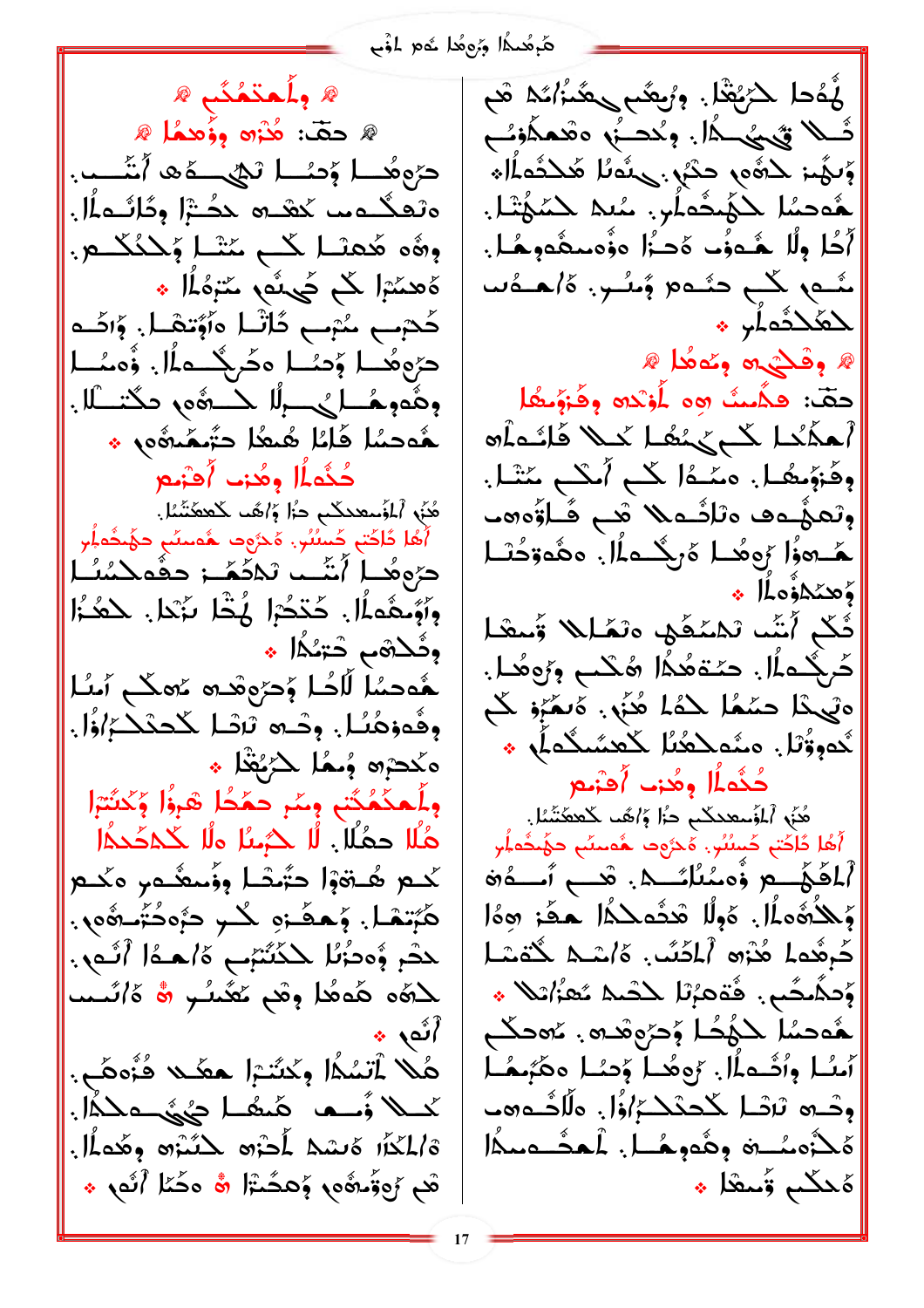@ و**أحتمُنَ**م @  $\circledR$   $\overline{a}$   $\overline{a}$   $\overline{a}$   $\overline{a}$   $\overline{a}$   $\overline{a}$   $\overline{a}$   $\overline{a}$   $\overline{a}$ ەتھگىم كىقى حكْتْرا وڭائىمال. وهُه هُمثا كُب مَتْلِ وَكَنُكُمْ. • الْمَابَتْ رِعْرِحْ کُمْ ابْتَمَاهْ كُدْنِبِ مُبْنِبٍ دُاتْلِ هَأَوٌتَهْلٍ. وَاكُــه دۆەھلل كۆمىللى ھەرىپ كىمال. ۋەسىل وهُومِمُاحُ الْمَ رَهُورِ مِكْتَالًا. مُوحِسًا فَامًا هُمِعًا حَتَّمَمُوهُ \* كُنُّه لُمْ إِ هُذِ لَا أَعْزَمِهِ ِّهُنَّهٖ ٱللزَّـبعدكـّــع جَزَّا وَّ/هُب كَعفَتَّبُنَا۔<br>اُهُا قَاضَع ضَبِّنُو۔ هُجُوف هُفِينَّعِ حَهْيَفُولُو دَّەھُــاْ أَشَّــٰ ثَدْكِّمُــ; حَقُّه لَـمُنْــٰا وَٱوۡٓٮِڡۧٛڡاٗڵۥۦٮۡڬڂۘڔٝڶۦؠؙؗڂٛڶٮڗؘٚۦٚٮڶ؞ۦٮڂڡؙٚڗؙٳ وِثَكْشَمْ تَتَنُكُلُّ وَ هُوحِمُا لَاَحُـا وَجرّوهُــهِ مُعكَــ أَمنُـا وِفْدَوْهُنُـا . وِحْــه تَآتَــا لَكَحِنْكُــرُاوُّا . ەڭدە بُىما كەنقا م وِلُمِكْمُكُنِّي وِسِّرِ حَمَّحُا هُرِؤُا وَكَنُتَرَا هُلَّا حمُلًا. لَّا حَبَّىُّا ولَّا حَدَّدَهُ! كُدم هُــةوْا حَتَّىثْـا وِزَّىعْـدْمِ وكُدم هُبْتُهْلَ. وُحْقَىٰ وَ حُبْ حَرُّهُ حُتُوجُهُ مِنْ حصْرِ وُءحزُنًا ۖ حَكَنُتَهِــ }/هـءُا أَنَّــه . َلْكُمُّە ھُەھُدا وِھْم مُع*ْدَسُ*و ۞ *ةَانْس*ىد  $\sim \sqrt{2}l$ هُلا ۚ اَتسُمُا وٖكتُن لعكَــد فُرُّهمُــ, كَـــلا وُــــم هَـمُعَــل دِيْ هَـــمَــدَمُل. ة/لمَكْلًا هُىشك لِمُتْزَوه بِكَسْرْوه وهُدالًا. هُم رُوتُوهُومُ وَمَصَّرَّا ۞ وكُمَّا أَنُّومٍ ۞

بَّهُ 1⁄4 مُعْلَمَ مِنْصِحَ وَمَعْنَ بِهِ مِنْ أَسْرَبُكَ الْمَوْلَى ئَــلا ڤَيْجُيْــدًا. وٖكتـــرُ، ەقْتمدَّوْئِــم وَهُمَا الْمَشْرِ. وَكَمَهُ وَهُمْ يَنْهُمْ فَيَ هُودِيُا كِهُجُولُو. مُبِهِ كَمَوُتُوا. أَكُل وِلًا ۖ هُـُدوُٰٮ ۚ هُدٰۥ اللَّهُ مَعْدَوِهُـلَ ۖ اللَّهُ عَلَيْ اللَّهِ عَلَيْ الْمُسْلَمِنَ شَمِ كَبِ حَنَّمَع وَّسُرٍ. هَا هُمُس | حَعَجْدَمُ \* @ وقلتيn وتما*ط @* حقَّ: فَدُّسْتُ وَهُ لَمُؤْتَدَهُ وَقُوْمِتُهَا مَلَّدُاهُ كَكَنْ لِمُنْهَرِكُمْ لَكُلُمْ أَسْتَمَاءُ وفَوْضُل. مَنْــهُ| كُــم أَنْكُــم مَتْتَـل. وتَعَدُّے وَتَلَدُّے لا تَعَبَّ فَـٰلَةُوهَـٰ هُـهؤُا رُوهُــا هُرِيْـُــهأا. وهُووّحُنْـا  $\frac{1}{2}$ وُهنداوُه أ ثَكْمِ ٱشَّت تَمْتَكُنْ وَتَعْلَيْهِ وَّسْعْدَ كَرِبُكُماًا. حَمّةهُدًا هُكْبٍ وِرُوهُـا. هِ بَهْمًا هَمُهَا حَمَّا هُنَّى. هَ مَّتَوْفِ حَمَّ ئُدوِوُّلْ. مِنْمَكْظُلُّكْعْشَىْگُمْلُمْ \* كُنُّه لُمْ إِمْنُوا لِمَا أَهْزَمِهِ هُنَّهِ ٱلمُعْجَدِكُمِ جَزَا وَٱهُبَ كَعِعَقَتُمُا. أَهُا دَٰلَٰتَ حُسْنُنٍ. ةَحَرَّوْتَ جُوستُنِ حَهُندُولُن ٱلمَكَّلِ ۖ م وْهمُنُكْسَـدْ. ۚ تَعَـبُ ٱمـــٰهُ۞ وَجَدَّةُوءُلَّا. وَوَلَّا قَدْعَكُمَا خَفَّ وَوَا كْرِهُدا هُنْزُه ٱلْمُدَّب. هُ/سْـدْ كُـُقْسْـلْ وَحدَّمـحٌـم . هُـتموُهُا للـصْـم مُعزُاهـلا . هُەحسًا ۞هُحًا وَحرَّەشدە . مُەحكّى أَمِنُـا وَٱثْـٰهاأَ. ۚ وَهُـا وَحَنُـا هَكَبُـِهُـا وحْده تْآشَا لْكَحْثَكْمُ}وُل. هِلْأَشُدْهِمْ هَكْرُەسُدە وِهُومُار. لْمَدْدىماْ أَهْ دَكْسٍ وُّسْعْدُ \*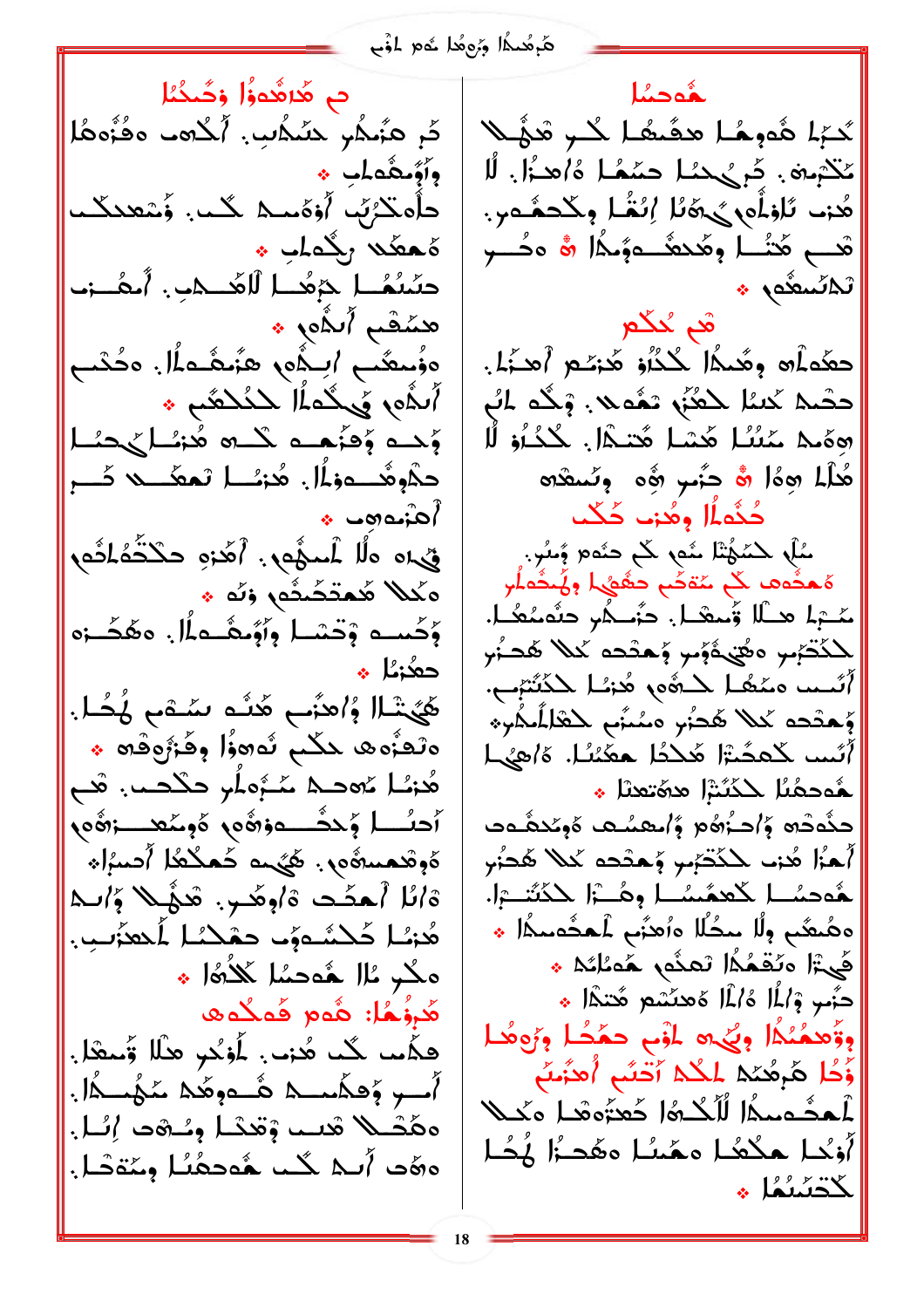هُرِهُدِهُ الْهُرُوهُدَا هُومَ الْمُو

ِ جِ هَٰدَهُووُ الْمَحْمَدُ كَرِ هَزُمْكُمْ حَشَدُّبٍ. أَخْذُهَبَ وَفُزُّوهَا وأؤْمِثْدامِ \* *ﺩ*ﺍْﻩﯕﺮَﻳُﻪ /ُﻭَﻩْﺳﺪ ﮔﯩﺪ. ﻭٞﺷﻌﺪﮔﯩﺪ ەھكلا رېگەلمب ھ حنّىئُمُـــا حَرْهُـــا لْاهُــــــــاب. أَممُـــزم همّشه أبدُّه . وَوُسِعَیْبِ ایکُومِ هِنگُوماً وَ وَحُمْسِم أَنفُكُمْ الْمَكْنُ وَمُثَلًا مِنْكُمْ يَتَمَسُّلُوا مِنْ وَّحَده وَقَوْمِــه مَـــــرَّة هُــزَّـــل مَـــرَّة مِـــرَّة مِــدَّمِّـــل دكْوِهُـــدوْلَمَا. هُزْئـــا تَـمعَــــــــــا كَــــرِ  $\int \hat{\omega_1} \omega$ فَيْدَه وَلَمْ أَسَوُّى وَاسْتَمَادُهِ وَاسْتَهْمَادُهِ هَٰلا هُمتَحُثُم وَلَه ﴾ وۡكَسِـد وۡقَسْلَ وِٱوۡعَقُـدِاۚ. دَهَكَــ;ه حعُنْنَا \* هَيُسْأَا وُٱهزُبِ هَٰنُـه سَـٰٓءَبِ هُڪُـا. ەتقنُّەھ ھڭىم ئەھۋا وقَزْوقە ھ هُزْسًا مُهجم مُنْهُماُرِ حَكْجِبٌ. هُبِي أحبُّـــا وُحثُّـــــــووْهُو وُومِّعْــــــزوُّو ەُوقىمسۇھە . ھَيُبت كَمْكَمَّا أَصْبَرا ﴾ ةُامُّا أَحْشَتْ ةَاوِهُدِ. تَعَيْنُكُمْ وَإِسْلَا هُزْسًا حُكْسُووُب حَمْكْسًا لِمُعْذَبٍ. مكْرِ ءُا هُـُمَحِسُا كَلَاهُا ﴾ هُرِؤُهُا: هُوم فَوكُوهِ فكَأْسَا لَكُنا هُذَاءٍ. لَمُؤْكُنُوا هَالًا وَّسْعَدًا. أسب وٌقكَسِيد هُــوهَد مُنْهُسِدًا. ەكْشىلا قىسە ۋقىشىل وئىۋە بائىل. ههُد أَبِي جُبِ هُوجِعُبُلِ وِيَتَوْسُلِ.

تمقدمنا كَعَمْا هُوهُا هفَعُمَا كُبِ هَؤُلًا كَلّْمِيهِ . كَرِيْ حِمْلِ حَمْعًا هُ/هِيْزَا . لَل هُذِ تَاوَلُوهِ يُ\$تَا إِنْشًا وِكْحِفْءِ. تَعَـــم مَّتُـــا وِمَّحْتَــْــوَوِّـدًا ۞ وحُــــو تَكسَّعُوا \* ھُم مُكُم حعَدهاً ومُسمًا كُحُرُو هُزِمُ مِنْ أَهِدَٰءًا. حصْد كبيُا لِكْتُنِ يَعْمِينِ. وَجُد لِبُ ههَ مَمْنُـل هُـثَـل هُـُـثَارِ. لِكَـدُو لُل هُدَابًا هُمَّا قُدْ صُبِ هُوَ وَيُسْعَدُه كُنُه أُل وهُزم كُكْب سُلَّلِ لِكَمُؤُنْثَا سُمِّعٍ كُلِّ حَتَّمَاهِ وَسُوِّ. كَــمَــُــوم لَــرُهُــمُـــــوم مَــرُم فَـــمَــم مَـــم مَـــم مَـــم م مُحْتِهَا هَــُالَّا وُجَعْجًا. حَزَّجَكُمْ حَثَّمَتُعُجَلَّا. لْمُكْتَبِّسِ وَهُيَّةَوِّسِ وَحَدْدَهُ كَلاَ هَدَّبَر أَئْسِ مَمْعُا كِلْمُومِ هُزْمًا كَكُنْتُمِبٍ. وَحدَده كَلا هُدُر مِنْتَهم لِلْعَلِلَمِلَيْهِ ﴾ أَنَّس لَاهِحُـٰٓ; هَٰـٰا هِـهَٰنُـٰا. هَاهِيُـا هُ٥حمُنُا ۖ حَكَنَنْزا مِحْمَتِعِنَا \* حثَّمتُم وَٱحْتُمُمْ وَٱسْعَسْتَ هُوِمُحَمَّـٰهَت أهزًا هُزم لِكَتَّبُرِ وَحَدْدِ كَلًّا هُدُر هُوحِسُــا كَعِمَّسُــا وِهُــْزَا كَكَتُنــْرَا. ەھُىھُى وِلَّا مىڪُلَّا ەاُھنَّى لَمْڪُمِيىدًا ۞ \* مَنْاءُمْ مِئْمَا امْغْفَاه اتْرِهْ حَنَّبِ وَ} أَمْ أَمْ أَمْ أَمْ مَعَنَّمَعِ مُحَتَّمًا ﴾ وتُعمُنُكُمُ وَيُن عَلَى الْمُوسِ حَمَّدُ وَوَهُدَ وَّجًا هَرِهُمُمْ لَمُكُمْ آتَيْبِ أَهْزَيْتِي أهدً مسمًا لُأَحْدُهُ! دُهتُوهْا وَحُمْلًا أَوْكَلَ هَكْتُمَا مَعْبُدًا مَعْدَزًا هُجُلًا للحَمْسُمَا \*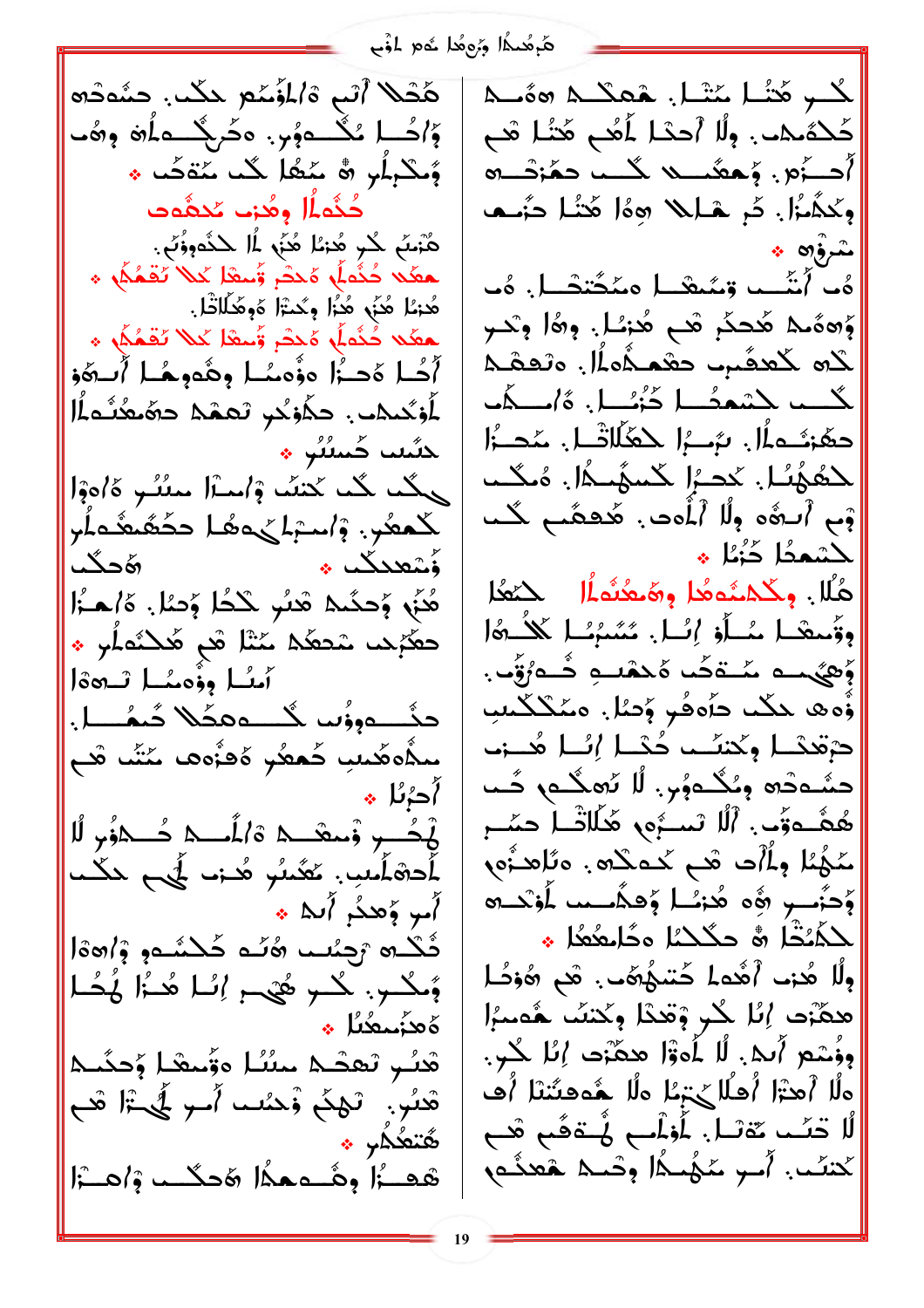هُرِهُدِهُ الْهُوهُدَا هُومَ الْهُبِ

هَٰثَمٌ أَنْبِ ةَالمُؤْسِّمِ حَكْبٍ. حَشَّەتُرُه وۡٛاکُــا نُگَــەوُیٖ. ەکَرِچُـَــەلۡاَن ووُمَــ وُبِكْرِلُو ۞ يَنْعُلْ كُبْ يَنْوَكُبْ ۞ كُنُه لُم وهُن، كَنفُوت هُّنْتُمْ كُلُّو هُنْتُل هُنَّىٰ لَمَا كَخُووْتُمْ.<br>حَقَّلا خُذْمَلَ وَحَضْرٍ وَّسَعْل كَلا تَقْعُكُل ﴾ هُدنا هُنِّي هُٰذَا وِكُنْزَا هُوهَٰكَلاَتْنَا. حطِّد دُدْمَهُ وَحَدْمٍ وَّسْعَا كَلا تَقْمُكُنْ ﴾ أُكُـا هَٰدۦۢۢا هؤْمسُـا وٖهُمومِـُـا ٱسهُوۡ لَمْوَكَّدها و حَكَّوْكُو تَعْمَّدْ حَيَّمْتُعَلَّا َ ۡ ۡدُنۡتَ ۡ کُننۡتُو ۚ ﴾ حِكْمَا كَتَامًا وَٱسْتَالَ مِنْتَكَمْ وَٱوْمِوْا لْأَهْمُورٍ. وْاسْتَبْلَى مِمْكُمْ حَكْمُمْتُدْمِلْر هُنِّي وَحِكَيْهِ هَيُو يَكْحُلُ وَجِبًا. وَإِنْهِ وَإِ حعَّدِما سْحَعَدْ سَتْأَ مْعِ هَٰذَشَاءِ \* أمنُـا وذُهمُـا نَـــ90\$ حنُّـــووُّب كُــــومَحُلا مُـمُــــا. سلَّەھُىب كَمھُر ەُفَزُەھ سِّنَّى قَب أحرُبُا \* لْهُشُبِ وْمِعْسَمْ هْ/لَمُسْمْ شُلْمُؤْمِ لُل يأدەْمُلُسِ. ئەنگىلو ھُـزىـ كَمبى ھگـمـ أُمِنٍ وَهَجُمٍ أَبَدًا ﴾ ثَكْــُه رُحِنُــَــَ هُنّـَــَ خَكْشُــَهِ وُاهْوَا وۡكُــُـوِ. كُــُـوٖ هُيۡـِـمِ إِنُــا هُــُزَا لَمۡكُــا ەمئىمغىل ھ قبئو تعصْد ستُئا ەوَّىھْا وَحِكَىد قْتُلُو. ۚ تَهْكُمْ وّْحَنَّت أُمِنٍ ۖ فَيَـٰٓءًا ۚ قَبِ ۿ*ۧ*ؾڡۢۮؙؠ؞ هَهِ أَلْ وِهُــوهِـدُا وَوَحَــْـبِ وَاهِــْزَا

كْبِ هَتُما مَتْما. هْمْكُمْ هُمْكُمْ كُحْدُمك. ولًا أحدْا لَمُعْم مَخْتًا قَبِي أحسنَون وَحصَّب لا لَكَب حَمَّزْتَـــرَهِ وِكَمْنُوا. حُرِ هَلِي 169 هَنُا حَزَبِهِ  $\bullet$   $\circ$   $\bullet$ ەُت آشىد قىنىشىل مىڭتىل. ەت وَّەەًىك ھُڪكُر ھُــم ھُـٰزئـــار. وە او وقـــو لْكُلُّهِ لَكُعْفُسِهِ حَقْمَكُمْ أَلْ. وَتَعْفَىكُمْ حَهُّنُومُاْلِ. بَرْبُرا حَعَكَلاَتْها. مَّحَـزًا ِلْحُمُّهُ*نَـا. حُجَـہُ*ا لِّكْسَهُنَـٰمُّا. ہُنگـت وْمِ أَلَيْهُمْ وِلَا أَلْمُوتَ. هُـْفَقَمَـٰمِ لَكُـُتْ المشمعُل جُزُمُل ﴾ هُلًا. وِكَمْسُوهُا وِهَمْعُنُواً لِكَمْلًا وِوَّٰٓىكَـ الْمُــأَوْ إِنُــا. مُمْبِئُــا كَلَّــةُا وٌهَيُمله مُلتَكَب هُكْسُلِهِ كُلُّهُوَّبٍ. ؤُەھ كڭ داُەفُرٖ وُنىُل. ەمَكْكْسِب حرقحكم وكتئب حُحْما إئما هُمزت حسَّـٰءَدَه وِمُكْـٰدوُنٍ. لَٰا نُهكُـٰمٍ كَـٰت هُهُــووُّب. أَلَّا تَسـرُه ۖ هُـُلاَثْــا حمّــر مَكْهُمُا وِلْأَاد قْبِ كَتْتَابُ وَتُلْعَدُونِ وَحَنُــــو وَهُم هُـٰهَــٰـا وَهكُــــعب لَمُوْتَـــــه لِكُمُخْلَقَ وَحَكِّكُمْ وَخَلِعُغُطْ ﴾ وِلًا هُذِب أَهُدا كُسْؤُهَب. هُم هُوْضًا ههَّوْت إِمَّا لَكُمْ وْقَدْاً وِكْتَفَ هُوسُرًا وِوُّسْعِ أَبِي. لَا لَمَوْوَا هِجَّرْتِ إِبْلِ كُنِي. هِمَّا أَهْتَا أَهْلَاجِيَّةٍ مِنْ اللَّهِ مِنْ اللَّهِ مِنْ اللَّهِ مِنْ اللَّهِ مِنْ لًا تَنَّــد مَّةَ لَــا . لَمُؤلَّـــم لُــتَفَعَّـم هُــم كتئب. أسو مَنْهُمْمَا وِتْمِيهِ هَعْدُومِ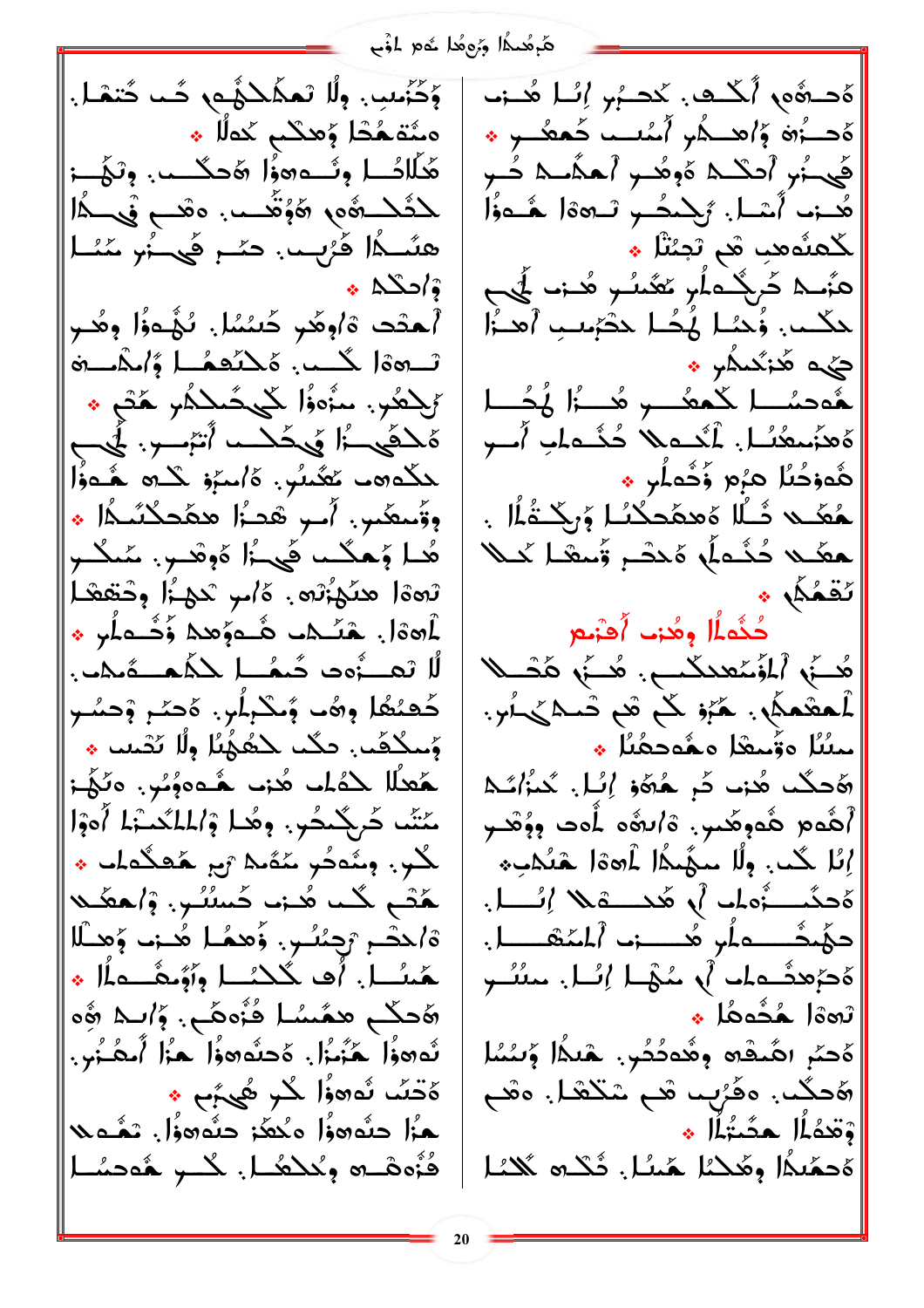وَكَنَّسِي. وِلَّا تَعَكَّلُكُمْ كُلَّفَ كُتَهْلَ. منٌقهُدًا وَهكُم كُملًا ﴾ هَٰلَائُـــا وِنُـــه%وُّا ۞حكّـــب. وِنَهَٰـــ; لضُلْدةُو رَسُفُوْ تُوجِّدُ مِنْكُمْ الْمَسْرِينَ وَسَلَّمَ هنَسْـدًا هَرُبْـب. حَسْـرٍ هَيْ\_زُرِ سَنْسًا وُاحكك \* ٱلعنْت ةاوهُدِ كَسُمًا. نُؤُلُّووُّا وهُــر تردة الحُسب هُكْتُعْصَبْ وُامْدَتْ رُكِعُو. مِنُووُا كَيْحُكْمُو هُتْم \* هْكْفُيْ أَوْ يَجْتَكْبُ أَنْتَرْسِنَ فَيُمْكُنّ ﯩﯖﻪﮬﻪ <u>ﺋ</u>ﯩﮕﯩﻠﻪ, ﺋﺎﺳﯧﯟ ﮔﯩﻤ ﮪﻪﯞﺍ ووَّسطَّىرٍ. أُسر ڤصرُّا همَّڪكْسُـدًا \* هُمْ وَجَعَلْتُ فَيْءُ أُوقِينَ سُكْبَر تَوە المَكْمُرُتُو . وَامْرِ كُلْمُ أَوْخَفْعُد لْمَوْهَا. هْنَـٰهَـٰ هُـُـوَوِّهِهِ وَُحُـُـولَٰهِ \* لًا تَعَـــزُهِ دَـمُـــا حَكْمَـــةُنَّمَــ. كَعْنُعًا وِهُبَ وُبِكْرِبُارٍ. هُجِبْرِ وُجِسُرِ وَسِكْفُ . حَكَّد حَكْمُهُمُ وَلَا تَثْمَد \* هَٰهَاْ لِكَٰہُا۔ هُٰذِ۔ هُـ٥٥وُبُر. هَٰنُوۡۖ: مَتَّفَ حُرِجُمُحُو. وِهُـا وْالْمَاكُمْـزْا أُهْوَا ىڭىر. وشەكىر س*َ*ەْمىد <sub>ك</sub>ىر ھَھگەلمە ھ هَتْمِ كُتْ هُـزْتْ جُسْتُبْرٍ. وْأَهْقَتْلَا ةالحصْرِ رُحِنْتُو. وُهِمْا هُـزَب وُهِــُلا هَسُـــا. أَه كُــْــَـــا وَأَوَّمهُـــه اُل \* هَحكُم همُسُل فُنُوهُم. وُٱلله وُو ثُهِ وَذَا ۚ هُنُوَا ﴾ وَحَدُوهِ وَوَا ۚ هُوَا أَمِعُوا ﴾ . ەْتْتُ ئەھۈَا گْدِ ھُيمِّى \* هزُا حثَّهُووُا مكْفَرَ حثَّةُووُا. تَعْبَد فُزْهِ هُـ مِي مَلاهُـا. كُـــو هُـهِ صُــا

ەَھْدُەر أَكْلُف. كَھِيْر إِنْسا هُدَي ەَھەدُو ۋاھىلگىز آملىسە كىھگىلز ھ فَي ۂُو اُدْنَـٰہٗ ہُومُنـُو اُ۔مَمُـٰہٗ دُـُو هُنَّ أَسْبَاءِ رُكِيضُوا نَسْ6ةَا جُنْدَوْاً ِكُمنُوهِ فِي آمِنُتُلُ \* هَنْمِكَ دَٰرِكُماَہِرِ مُعْمَسُو هُــٰۃِ کَمِیکِ لْمَكْسَبَ وُلْمُسًا هُكُلْ لِمُتَّوْسِينِ أَهْشُرًا حيّد هُن مُكِ \* هُوجسُما حُكْمِعُمْ و عُمْدُوا هُجُمْما ەْھنىھۇسل. لْمُسمى كُسُملى أَسىر هُودُىُل هرُم وَّثُملُن \* ـهُكَــد ثَــُلا هُعفَحكُـُـل وَرِكْــةُـلُا . هعَند حُدْماً، هَجْمَ وَّحْشَرْ لَمَحْلَ ئقمُمًا \* \*<br>كُنُّه *ل*ُّا وِيُّنِي أَقْنُوم هُــَـزُو ٱلمُؤْمَّعِدِكَســو. هُــزُو هُـتَــلا لْمَعْمَكَارِ. هَبْرَة كُمْ ثَمْ تَسْمَكَ أُسْ. مللًا وتُمعْلِ وهُوجِعُلًا ﴾ هَحكٌ هُذِ مُ هُهَوْ إِسُلَ. كُمْأَمْكُمْ أَهُّدم هُدومًا ولاء اللهُ من أدت ووُهْب إِنَّا لَكُتْ. وَلَا سَهَّيْجًا لَمُوَةَا هَنُكُتْ. ەَحِكَــــزُەلمە لَى هَٰذــــــڤ\\ إِنُـــــــلِ. ەَحَرَىدَشْــەلما ﴾ مىشلىر اللہ مىللىر . Lose Acos ەُحمُر اهْبەھ وِهُدەتُو. ھَىدًا وَّىسُلَّا ھُڪُ، ەھُرُب ھُم سُلْعْلَ. ەقىم وْتَعْمُلُا ۖ هِتُنْزُلُوا ۞ ەَحمَّىمَا وِهَٰكِمَا هَىئا. ئَكْتُمْ كَكْمَا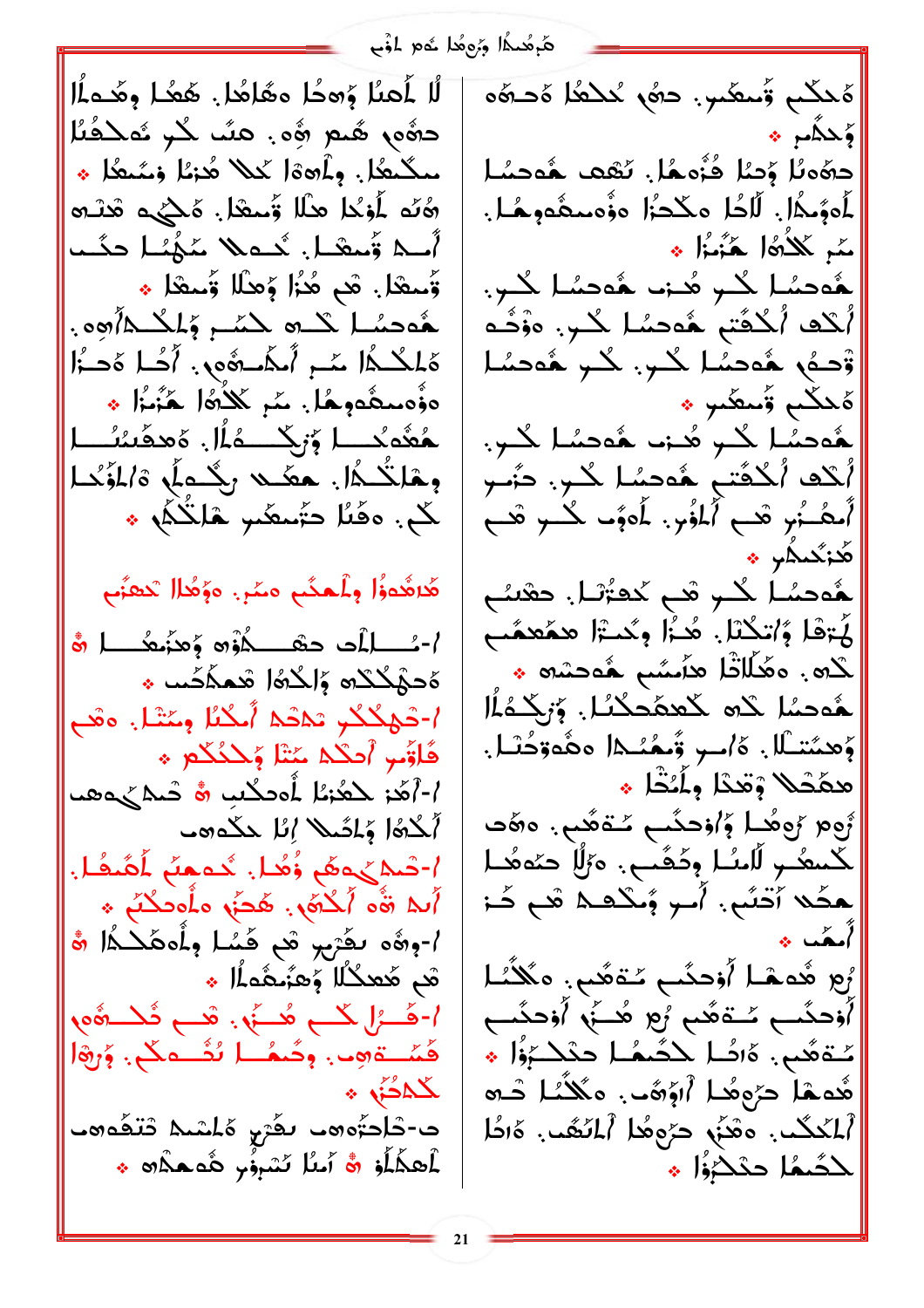لًا لَمِبْلِ وَهِجُلِ مِعْلِعُلٍ. هَعْدا وِهُـمِلْلِ دەُە ھُىم ھۇە . ھنُ كُبْر ئەللەُنُا مىڭىغا. و*ـأ*960 كىلا ئونا ۋىئىغا ھ رەُنَه لِمُؤْكِّلِ هِلَّا وُّسْعَاً. ەُنْ هُوَ مَنْ 10 أَسِمْ وَّسِعْبًا. يُحْمِيْ مُؤْسُلِ حَيْب وَّسِعْلَ. مْعَ هُزُا وَهِلَا وَّسِعْلَ \* هُوصُل كُلُّهِ لَكْسَمٍ وَلِمُكُمْأَهُوهِ . كَمْلَكُمَا مَبْ أَمَكْسِوْهِ فِي أَكْسَا وَصَوَّا وَوْمِيهِ مُوسِمًا. يَيْمِ لِكَلْاهَ الْمُؤْمَرُ الْمُؤْمِنُ **ـمُ**ّدُكــــا وِّزِيْكَـــمُلُّا. ەَھفَى*نْــ*ــا وهلتُكمُل هعَك رِجَّحكُو وَلِمْوَكَك ݣُلْ. ەفْئا دَتْسْعَىرِ ۿْلْتْكُلّْ \*

هَٰاهُووُا وِلْمِنِّبِ مِنْنٍ. مَوۡهُاا تَحْقَنُبِ ا-مُـــالَم دڤــــدُوْن وَمدُمعُــــا ، ەَحْهَكْݣُلُو وَالْحُلْهَ قْعَمْلَاصُد \* /-كهڭگىر تەڭم أىڭئا ومئثار. ەقب هَاوَّىرِ أَحكم مَتْلَ وَحِكْكُم \* /-أهَّز لحعُزمُا ـأومكُب ۞ صُمْ <sub>كَــ</sub>ومب أَحْدُهُمْ وَلَمُلاً إِلَٰا حَكُمُوت /-تْسْكَىْمْتُمْ وُهُداً. گُنْمْمِنَّى لِّأَهُنْفُاً. أَبِيا قُومٍ أَلْحُقَى. هُجَنِي وَأَوْضِكُمْ \* ُ/-وِهُو بِغَيْنِ هُي فَيُبَا وِلْمَهْكُمُا هُ مْمِ هُع*د*ْڭَا وُهُنُمڤُه اُل مُ ا-قَـــُرْلِ كُـــمِ هُـــمُو. قمــم قُـكـــڤُمِ فَسْـــٰقَوِّفٍ. وَحُـمُــٰلِ تُشْــٰفَــٰحِ وَيَرْوَا XA دُنَّى \* د-ثَاحَۃُہ میں ہوَّت<sub>َ</sub> کا مُملک ثَنَقُہ می ـ أَهكَلُوْ ۞ أَملُ<sup>ا</sup> نُسْبِوُْرِ هُـْمَـمْآه

ەُككىم تُسعَّىر. دەُم كَكْعُد ەَدەُه وٌحكَم \* دەُەىُل وُدْل قُزْەھْل. ئەھ ھُەدسُل لَمَوۡمَاٗا ٱلۡكَٰلَ مَكۡحُرَٰا ۚ مَؤۡوَىٰمَقُومُٰا ۖ } سُرِ بَلاَهُ| هُنُواْ ﴾ هُوصُباً كُلِّ هُذِب هُوصُباً كُلِّرٍ. أَكْفَ أَكْفَتُمْ هُوَجِسًا كُلُو. وَوْخُو وْْحِمُ ۖ هُوصُل كُـرٍ. كُـرٍ هُوصُل  $|\delta z$ دَكْب وَّسطَّىر ھ هُوصُبا لَحْبِ هُنِي هُوصُبا لَحْبِ. أَكْفَ أَكْفَتَبَ هُوصُلُ كُـرٍ. حَزْبَ أَمطُـنُو هُــم ٱلمُؤُو. لَمَاوَمٌــ كُــو هُــم ۿۯێٛۮۿڔ؞ هُوصُلُ كُلِّرٍ هُم كُعَتّْقَاً. حَعْنَى لَمَ وَٱ وَٱسْكُنَا. هُـزًا وِكَـنَّ هَـهُهِمَــم Xo. oalled and in the هُەحسًا ݣُلُّ كُعكَحكْنَا. وَرَكْـهُـلَا وٌهمٌتـْـلًا . هُ/سـر وُّىمُنُــدَا هِ هُوَدُسَـلَ . همَّحْلا وْتَعْدَا وِلَمُتْتَا \* رُّوم رُومُا وُاوْحِكُب سُقَمُّبٍ. وَهُت لْكُسْعُــرِ لَٱمنُــا وِكَـقُـــع. وَرُلًا حَمَّدَهُــا هكُدْ أَتْشَّىٰ. أُسو وُسْكُفْط شَي كُمْ أمكَّب \* رُهِ شَمشاً أَوْحنُبٍ مُتَمَّى ِ. مَكْنُـا أُوْحِكُب ۖ ـُـٰٓةَهُّب ۚ رُوٓ هُــَـنَّى أُوۡحَكُــبِ صَّةهُدبي. ةَاصًّا لِكَصُّمُـا حَكَكَّرُواْ \* هُدها حرِّهِهُا أَآوَّهُ . هَ كُلُّمَا حُـ لْمَكْكُبِ. وَهْنُو حَرَّوهُا لْمَانَّعُبِ. وَاطُلْ لحَصُمُا حنْكُرُوا ﴾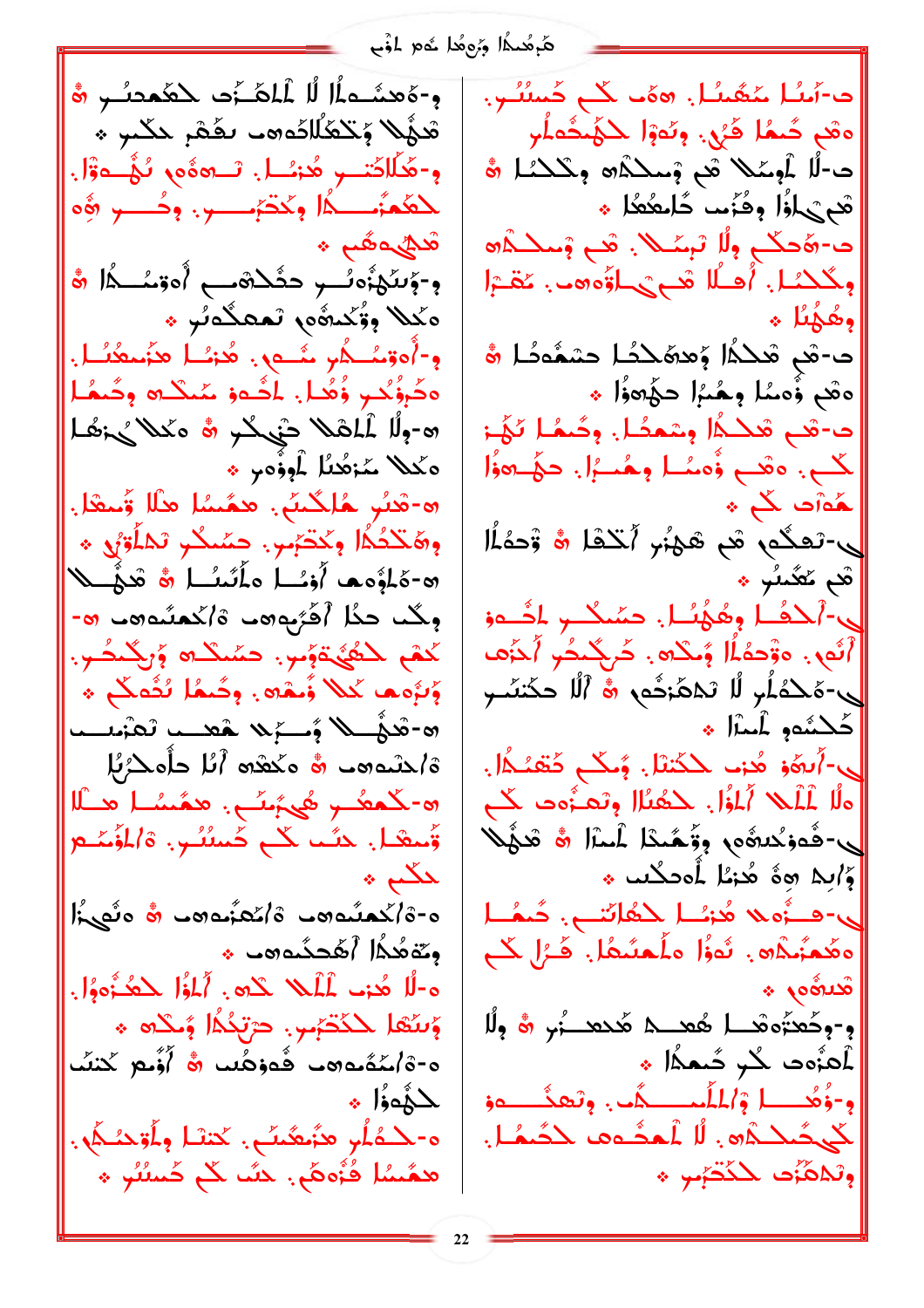هُرِهُدهُا وَرُوهُدا هُوم لِمُوْبِ

و-6َهنْسُماْا لْا مْلَكْتُ حْكَمْعِيْسِ نْ تَعَوُّلا وَخَعَطُّالُه10 نَفْقَهِ حَكْسٍ \* و-هَـُللاَتـَــــرِ هُـْـَـــل ِ. تَــــــ9هُوم نُـهُّـــه وَّل ِ. لحَقَّعِنْ لِمَا وَحَدَّثَتِ بِ. وَقُــــــــو رَقِّهِ هُدی هگه په و-وَٱللَّهُۥۛٛولُــــو حثَّــْـاهَــــع أُوتِسُـــدُا ﴾ ەڭلا وتٌكىتُەر تىمككەنر \* و-أەقسُلگىر سُلمى، هُزسُل ھزَيتھُسُل. ەكبۇگىر ۇھُل. لمُـُـەز سُبڭـدە وِكَـمُـل الثاني *المكان في لكن الثال*ا لماءٍ-b الم ەڭلا سُرْهُنا لْمُوؤْەر پ ٥-ﻗﯩﻠُﻮ ﻫﺎﻟﮕﯩﻠﻰ. ﮬﻤّﯩﻠﺎ ﮬﺎﻟ ﯞﯨﻴﻐﺎ. وهَ تَكْثُمُا وِكْتَبْسٍ. حَسْكُرِ ثَمْلُوْيُ \* o-ەُلمۇەھ *أَوْسُـا مأْنُىسُـا قُ* قَد<u>ۇْ</u>ـــلا وِكُمَا حَظُ أُكَّرُبُوهَا ۚ وَٱكْعَنُدُهَا ۞-ڭقو لگۇنقۇس. كىنىڭلەر ۋېڭىگىن. وَبَوْهِم كَلاَ وُمْهُمْ. وِكُنْعُا يُثْمَكُمْ ﴾  $\circ$  -  $\circ$ َ $\circ$  -  $\circ$   $\circ$  -  $\circ$  -  $\circ$  -  $\circ$  -  $\circ$  -  $\circ$  -  $\circ$  -  $\circ$  -  $\circ$ ة/حلّىوهب ﴿ وَكَعْدُوهِ أَمَّا حَاْوَكُمْ بَا ٥-ݣُمْعُس هُيْ مِنْ مِنْ مِنْشَا هِنَا وَّسقاء حبَّ كَبِ كَسْتُبْ وَالْوَّسَّع حگم ہ أَبْرِضَهُ مَّ سَمَعَنَهُمْ أَهْ سَمَعَتُمْ مِنْهُمْ أَنَّ -ه وتفعُدًا أَهُدَمُده . ه-لًا هُنِب عُلَما الله عليه أَمَلُوْا الْحَقُّرُووُا. وَبِنَهَا حَكَتَبِبٍ. حَرْبَخُمَّا وَحَدَّهِ \* ە-ۋا<sub>م</sub>ىْھُىمەم قۇمۇمىي قاڭ بۇ مىتىگىنى لِكُوْمُ وَالْ ە-ݲﯘﻟﺮ ﮬﯘﻣﯘﻣﯩّ). ﻛﺘﻘﺎ ﻭﻟﯘﻛﯩﮕﻪ. ھمُسُا فُزُەھُن ھُب كُن مُسْلُو ﴾

د-آملًا سُھُسُل. ھەب كُنى كُسْلُسْ. ەقىم كَنْمُا كَرُنْ. وِتَوْدًا لِكَهُنْدُمْلُر د-لًا ـُهِمَلا مْع وْمِلْدُهِ وِكْلَنَا نُّ هَيْ الْمُعْلَمِ الْمَالِكَةِ وَالْمَحْمَدِ مِنْ الْمَحْمَدِ الْمَحْمَدِ ف-5هكم وألا ترسّكا . قم وسكناه وككنان أفسلا هج والأوهب محقول وهُهُمُا ﴾ د-ڤې ڤَنڭُا وٌههُكْتُـا حَسْفُوتُـا <mark>ڤ</mark> ەقىم ۋەسُل مِـمُـُرًا حَكَمَوْا ﴾ د-قىي قىنىدا وشمعُنا. وحُنمُنا ئيْ: كُلِّي. وقْبَ وْوَسُلُ وِهُبُّ!. كُلُّ هُوَّا هُدَات کُمْ \* ى-تعكُم، مْم هْهْبُر أَحْدْهَا ، وْحَمْلُه مْع مْعُسُو \* لى-ألحفُّا وِهُؤُسًا. حِسْكُبِ احْدو أَثَم، وَوْحَفُلًا وُحْكُمْ صَحْكَمِ ٱلْأَبَعَدِ لى-ەّْݣْمُلُو لْا تْمْهَرْشُو قْ ٱلْا حَكْنتُــو اكحشوو أسأله ﴾-أَبعَهُو هُنِ لِكَنْتَاءِ وُبِكُمْ دُقْسُكُا. ِ وَلَا غَلَمُلا ﴾ أَعْوَٰلَ: ﴿ حَقُلُوا وَتَعَذُّوهَ ۚ كَلَّــعَ لى-قُم<sub>ُ</sub>وْكُدِيُّەم وِتَّهَيْدًا لَمِيْرًا فَيُّ تَعَيُّلا أَوَّٰٓ ﴾ [ابط هِ٥َ هُزْمًا لِمُوحَكْتِب \* ى-قىۋە ھۇئىل كىغائىب . ئىمل ەقْھنْمْلَاھ. ئُەزُا ماھشَھُا. فَــُرُا كُــَم  $\cdot \cdot \cdot \cdot$ و-وحُعتُوهْما هُعبه هُجعبُ والْ ـأهنُّوت لكو شُـمكُا \* و-وُهُـــــــــــــــــــــــــمُــــــــ وتبعثــــــــــــــوو كَحِجَمَكِAْتَ , لَا غُمِدُومَا حَكَمَمَا . |ولكفَّاف للكُتّْمُون \*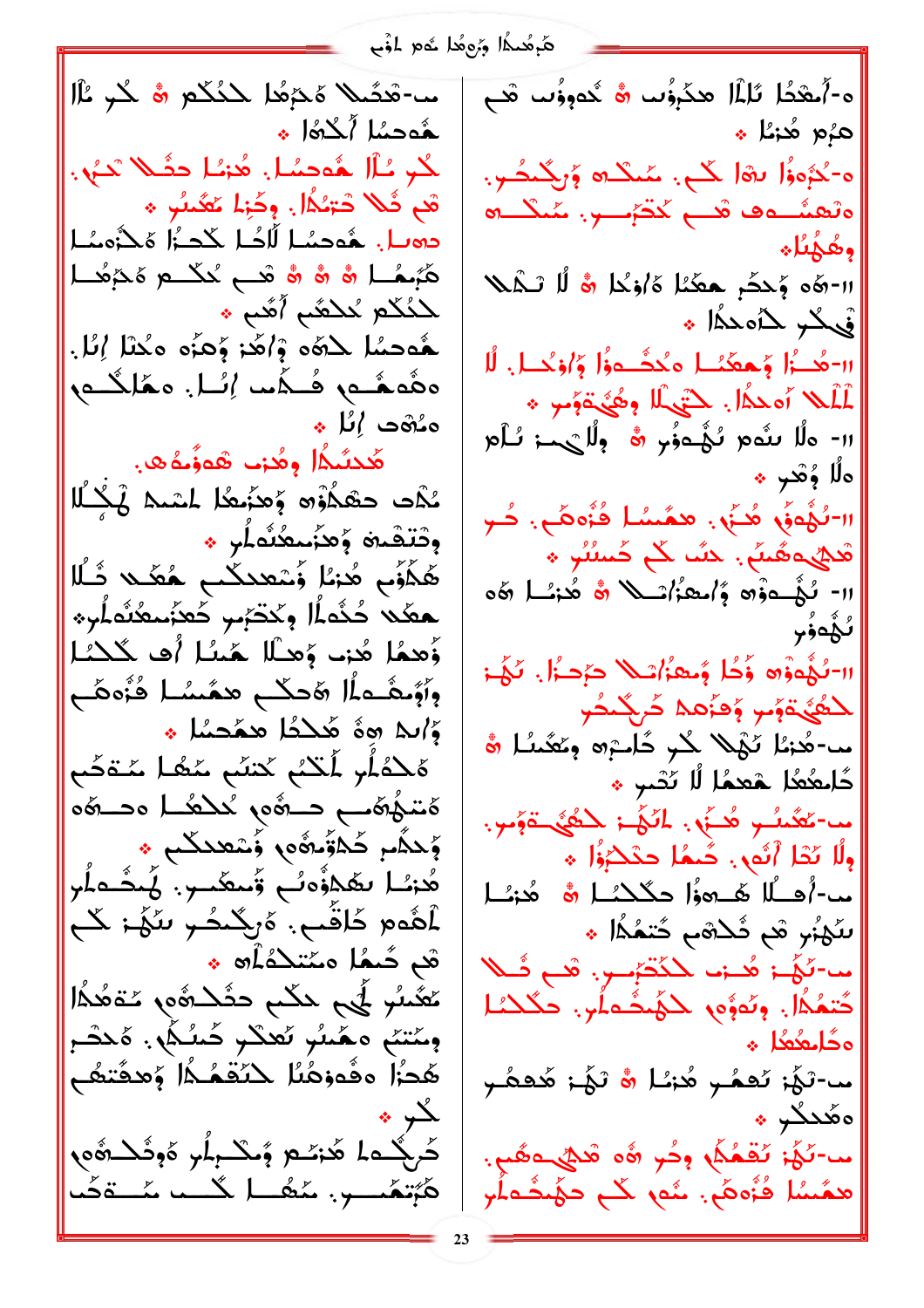سَّقْتُمْلاً مُجْهُدًا لِمُكْلُمِ \* كُلِّ عُلَّا هُوحِسُلُ أَبْحُدُهُ ﴾ كُمْ حُالَ هُوَجِسًا. هُزْمًا حَثَّى آخِيٌ. مْعِ ثَلا تْتَنْدًا. وِخْتِا عَعْبَبُو \* دەيا. خەمئىل لاكىل كەخ كەنگەنىل هُبُسُا ۞ ۞ ۞ قب كُكْمِ هَجْهُما لْمُنْكُمْ نُمْلُغُمْ أُهُمْ \* هُوصُل لِاهُو وْاهُدْ وُهِنُو وكُنْلَ إِنَّلْ. ەھُەمْسە ھُسكە إلىا. ەھَلىگىم ەمُەْت إِنُا ﴾ هُدِيَّىدًا وِهُزِبٍ هُوَزَوْهُ ِي. مُكْت حقكُوْه وَهزَمعُا لِمَسْدِ لِكِتُلا وِدْتَـٰفْـٰدَة وُهٰذُمفُدُماُو ﴾ هَٰٰٓكُوۡٓٮٖ مُنۥَا ۚ وَۢ تَصححَـٰب ۖ ـِمُعَـٰٓـٰا ۖ شَـٰلًا هعَد دُدَّەلُمْ وِكَدَّرِ وَحَدَّمِيْدَا وَلَدَيْنَ وَلَدِي وُّهمُا هُـْنِ وَهـْلَا هَيْنُا أَفَّ كَلَّـنُـا وأوٌىڤـەڵا ۞حكــه همُسُــا فُزُەھَــم وُأَلِيمَ هِوَّةٌ هَٰلِكُمْ هُهُجِسًا \* َ هَكَمْلُو لَمْتَكُمْ كَتْنَبْ سُعُلْ سُقَضَى هُتَمُهُمَّـــم حَـــوُهِ كَلَــمُّــا محــوَه وَحِكَم حَكَوَّمَوُهِ وَمُعجَكَبٍ \* ھُزئـُـا ىگكِفْوْدُب قُىھَىــر. كُىڪُــو.لُر لمفْم كَاقْب. ەُرگىتُــو سَكَّـ: كُــمُ ھُم ضُمُّا مَنْتَكَمُّاہ ﴾ تَعْدَنُرِ لَمَى حَكْمٍ حثَكَّةُو كَتَوَهُمَا وِمّتمْ مصّْلُو لَعِنْكُو كُلّْكُلّْ، مّْحَصّْرِ هَٰحَۃٗا ہِ قُومُنُا ۖ كَنُقْعُـٰهُا ۖ وَحِقَتَمُـٰمِ كُر \*<br>دَرْگەلم هُنسُم بُرْكْرِبْكُر ەُوشُكْرەُو 

ه-/ُىڠْدُا ئَالْمَا ھكْبِؤُب <mark>۞</mark> گەوؤُب قْب حرُم هُنْءُ \* ە-ئۇەۋا بەلگەن شىكلە ۋېڭىگىر. ەتھئىسەھ قىس كتۇسىر. شىكىدە وهُجُبُلُو لل-6ه وَحكَمٍ هِعَمُا هَ/وْجُا ۞ لَا تَـهْلا فَي كُمْ حَدَّه هَدًا \* 11-هُــزُّل وَجِعْتُــل وَجُحْــوزُّل وَأَرْجُــلَ. لَّا مْ بِمَهْمَ يَوْمِينَ مِنْ الْمَحْمَدِ مِنْ الْمُعَدِّمَةِ مِنْ مَنْ الْمَعْدَ 11- وَلَا يَشُومُ يُؤْمِنُ وَهُ - وَلَا يَجِمَعُ يُنَاهِرَ ەلا ۇقىر ھ اا-لُؤُهوَّى هُـُوَى هَـمُسُـل هُزُّهِهَى كُــو قَدِيْهِ مَمْنَىٰ: حَنَّتْ لَکَّے کَسْتُوْ ﴾ 11- ئُمُّےوْت وَّاْمِعْزُائِكْ ﴿ هُٰذِكَ الْأَهْ ٮۢؗؼٛ۠ڡۏؙڔ 11-ئُؤْدَوْنَ وَّحُلَّ وَّمَعْزُ/تَبْلاَ دَرْدَةُلْ. تُكِّ لْكُفَيْتَةَمِّسِ وَْهَزَّهِمْ خَرِيْكُتُسِ م-هُز*نَا نَّهْلاَ خُ*رِ دُّاجْ‰ وِ*نَعْنُنَا* ۞ دَّاعِثْتُكَا حْتَحَمَّا لَّا تَدْمِن \* وِلًا تَحْلَ أَثَمِي. حُثْمًا حَكَكَرُوا \* مب-أُهــلًا هُــهوُّا حكّـكـُــل قُــ هُـزْـُــل سَٰٓهُۥؙڔ شَم شُكْلُه مِ حُتمُكُل ﴾ س-نَهُــ; هُـــ; لَكُتّْتَ;سر. قب قُــلا دَّتمُمُّا. وِتَوَوْمٍ حَجِّمَدُومُرٍ. كَكَنْتَا ەڭلىئىئا \* مە-ئۇ; ئەمُـُر ھُ;ئـُا ، ئۇ: ھُەھُـُر ەقىنگىز ھ س-ئكْمْ; ئَقْعُكُمْ وِحُرِ ۞ُ٥ قَلِيْ2هُمْ. ھىَسُلَّا فُتُوهَى. شَو كَبِ حَهَٰدُولُر